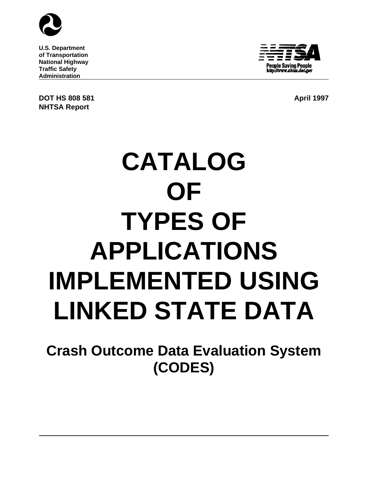

**U.S. Department of Transportation National Highway Traffic Safety Administration**

**DOT HS 808 581 April 1997 NHTSA Report**



# **CATALOG OF TYPES OF APPLICATIONS IMPLEMENTED USING LINKED STATE DATA**

**Crash Outcome Data Evaluation System (CODES)**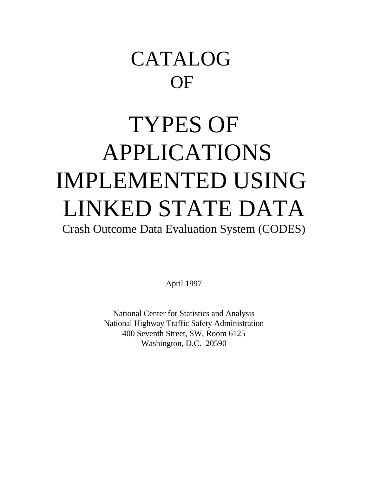## CATALOG **OF**

## TYPES OF APPLICATIONS IMPLEMENTED USING LINKED STATE DATA

Crash Outcome Data Evaluation System (CODES)

April 1997

National Center for Statistics and Analysis National Highway Traffic Safety Administration 400 Seventh Street, SW, Room 6125 Washington, D.C. 20590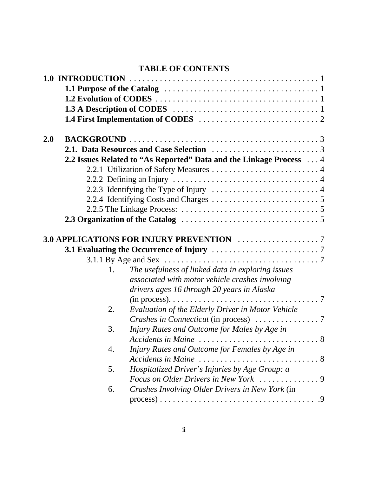## **TABLE OF CONTENTS**

| 2.0 |    |                                                                                                    |
|-----|----|----------------------------------------------------------------------------------------------------|
|     |    |                                                                                                    |
|     |    | 2.2 Issues Related to "As Reported" Data and the Linkage Process  4                                |
|     |    |                                                                                                    |
|     |    | 2.2.2 Defining an Injury $\dots \dots \dots \dots \dots \dots \dots \dots \dots \dots \dots \dots$ |
|     |    |                                                                                                    |
|     |    |                                                                                                    |
|     |    |                                                                                                    |
|     |    |                                                                                                    |
|     |    |                                                                                                    |
|     |    |                                                                                                    |
|     |    |                                                                                                    |
|     |    |                                                                                                    |
|     | 1. | The usefulness of linked data in exploring issues                                                  |
|     |    | associated with motor vehicle crashes involving                                                    |
|     |    | drivers ages 16 through 20 years in Alaska                                                         |
|     |    |                                                                                                    |
|     | 2. | Evaluation of the Elderly Driver in Motor Vehicle                                                  |
|     |    |                                                                                                    |
|     | 3. | Injury Rates and Outcome for Males by Age in                                                       |
|     |    |                                                                                                    |
|     |    | Accidents in Maine $\ldots \ldots \ldots \ldots \ldots \ldots \ldots \ldots \ldots 8$              |
|     | 4. | Injury Rates and Outcome for Females by Age in                                                     |
|     |    |                                                                                                    |
|     | 5. | Hospitalized Driver's Injuries by Age Group: a                                                     |
|     |    |                                                                                                    |
|     | 6. | Crashes Involving Older Drivers in New York (in                                                    |
|     |    |                                                                                                    |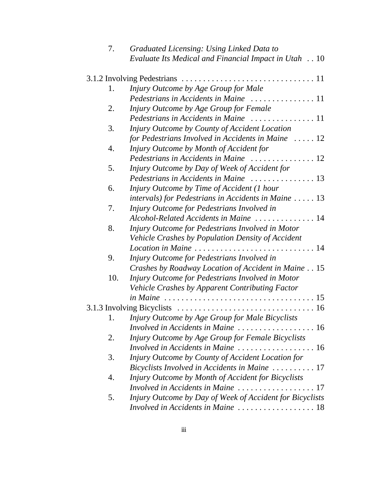| 7.  | Graduated Licensing: Using Linked Data to                       |
|-----|-----------------------------------------------------------------|
|     | Evaluate Its Medical and Financial Impact in Utah 10            |
|     |                                                                 |
| 1.  | Injury Outcome by Age Group for Male                            |
|     | Pedestrians in Accidents in Maine  11                           |
| 2.  | Injury Outcome by Age Group for Female                          |
|     |                                                                 |
| 3.  | Injury Outcome by County of Accident Location                   |
|     | for Pedestrians Involved in Accidents in Maine  12              |
| 4.  | Injury Outcome by Month of Accident for                         |
|     | Pedestrians in Accidents in Maine  12                           |
| 5.  | Injury Outcome by Day of Week of Accident for                   |
|     | Pedestrians in Accidents in Maine  13                           |
| 6.  | Injury Outcome by Time of Accident (1 hour                      |
|     | $intervals)$ for Pedestrians in Accidents in Maine $\dots$ . 13 |
| 7.  | Injury Outcome for Pedestrians Involved in                      |
|     | Alcohol-Related Accidents in Maine  14                          |
| 8.  | Injury Outcome for Pedestrians Involved in Motor                |
|     | Vehicle Crashes by Population Density of Accident               |
|     | Location in Maine  14                                           |
| 9.  | Injury Outcome for Pedestrians Involved in                      |
|     | Crashes by Roadway Location of Accident in Maine 15             |
| 10. | Injury Outcome for Pedestrians Involved in Motor                |
|     | Vehicle Crashes by Apparent Contributing Factor                 |
|     |                                                                 |
|     |                                                                 |
| 1.  | Injury Outcome by Age Group for Male Bicyclists                 |
|     | Involved in Accidents in Maine  16                              |
| 2.  | Injury Outcome by Age Group for Female Bicyclists               |
|     | Involved in Accidents in Maine  16                              |
| 3.  | Injury Outcome by County of Accident Location for               |
|     | Bicyclists Involved in Accidents in Maine  17                   |
| 4.  | Injury Outcome by Month of Accident for Bicyclists              |
|     |                                                                 |
| 5.  | Injury Outcome by Day of Week of Accident for Bicyclists        |
|     | Involved in Accidents in Maine  18                              |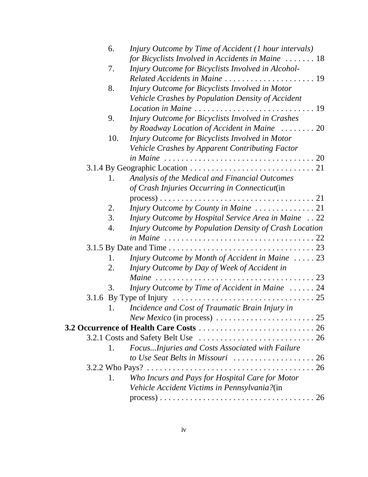| 6.  | Injury Outcome by Time of Accident (1 hour intervals)                                                            |  |
|-----|------------------------------------------------------------------------------------------------------------------|--|
|     | for Bicyclists Involved in Accidents in Maine  18                                                                |  |
| 7.  | Injury Outcome for Bicyclists Involved in Alcohol-                                                               |  |
|     | Related Accidents in Maine  19                                                                                   |  |
| 8.  | Injury Outcome for Bicyclists Involved in Motor                                                                  |  |
|     | Vehicle Crashes by Population Density of Accident                                                                |  |
|     |                                                                                                                  |  |
| 9.  | Injury Outcome for Bicyclists Involved in Crashes                                                                |  |
|     | by Roadway Location of Accident in Maine  20                                                                     |  |
| 10. | Injury Outcome for Bicyclists Involved in Motor                                                                  |  |
|     | Vehicle Crashes by Apparent Contributing Factor                                                                  |  |
|     | in Maine $\ldots \ldots \ldots \ldots \ldots \ldots \ldots \ldots \ldots \ldots \ldots \ldots 20$                |  |
|     |                                                                                                                  |  |
| 1.  | Analysis of the Medical and Financial Outcomes                                                                   |  |
|     | of Crash Injuries Occurring in Connecticut(in                                                                    |  |
|     |                                                                                                                  |  |
| 2.  |                                                                                                                  |  |
| 3.  | Injury Outcome by Hospital Service Area in Maine 22                                                              |  |
| 4.  | Injury Outcome by Population Density of Crash Location                                                           |  |
|     | in Maine $\ldots \ldots \ldots \ldots \ldots \ldots \ldots \ldots \ldots \ldots \ldots 22$                       |  |
|     |                                                                                                                  |  |
| 1.  | Injury Outcome by Month of Accident in Maine  23                                                                 |  |
| 2.  | Injury Outcome by Day of Week of Accident in                                                                     |  |
|     |                                                                                                                  |  |
| 3.  | Injury Outcome by Time of Accident in Maine  24                                                                  |  |
|     | 3.1.6 By Type of Injury $\ldots \ldots \ldots \ldots \ldots \ldots \ldots \ldots \ldots \ldots \ldots \ldots 25$ |  |
|     | Incidence and Cost of Traumatic Brain Injury in                                                                  |  |
|     |                                                                                                                  |  |
|     |                                                                                                                  |  |
|     |                                                                                                                  |  |
| 1.  | FocusInjuries and Costs Associated with Failure                                                                  |  |
|     |                                                                                                                  |  |
|     |                                                                                                                  |  |
| 1.  | Who Incurs and Pays for Hospital Care for Motor                                                                  |  |
|     | Vehicle Accident Victims in Pennsylvania?(in                                                                     |  |
|     | $process) \dots 0.000000$                                                                                        |  |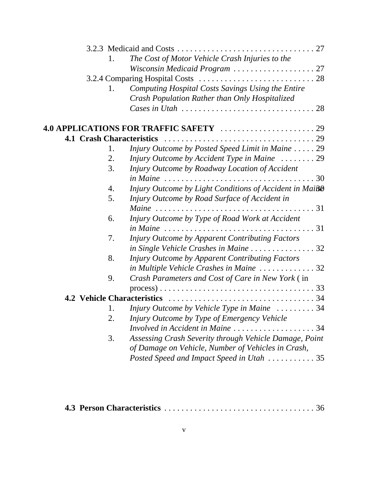|                                  | 1. | The Cost of Motor Vehicle Crash Injuries to the                                                     |  |
|----------------------------------|----|-----------------------------------------------------------------------------------------------------|--|
|                                  |    | Wisconsin Medicaid Program  27                                                                      |  |
|                                  |    |                                                                                                     |  |
|                                  | 1. | Computing Hospital Costs Savings Using the Entire<br>Crash Population Rather than Only Hospitalized |  |
|                                  |    | Cases in Utah $\ldots \ldots \ldots \ldots \ldots \ldots \ldots \ldots \ldots 28$                   |  |
|                                  |    |                                                                                                     |  |
| <b>4.1 Crash Characteristics</b> |    |                                                                                                     |  |
|                                  | 1. | Injury Outcome by Posted Speed Limit in Maine  29                                                   |  |
|                                  | 2. | Injury Outcome by Accident Type in Maine  29                                                        |  |
|                                  | 3. | Injury Outcome by Roadway Location of Accident                                                      |  |
|                                  |    | in Maine $\ldots \ldots \ldots \ldots \ldots \ldots \ldots \ldots \ldots \ldots \ldots 30$          |  |
|                                  | 4. | Injury Outcome by Light Conditions of Accident in Maiß®                                             |  |
|                                  | 5. | Injury Outcome by Road Surface of Accident in                                                       |  |
|                                  |    |                                                                                                     |  |
|                                  | 6. | Injury Outcome by Type of Road Work at Accident                                                     |  |
|                                  |    | in Maine $\ldots \ldots \ldots \ldots \ldots \ldots \ldots \ldots \ldots \ldots \ldots 31$          |  |
|                                  | 7. | Injury Outcome by Apparent Contributing Factors                                                     |  |
|                                  |    | in Single Vehicle Crashes in Maine  32                                                              |  |
|                                  | 8. | Injury Outcome by Apparent Contributing Factors                                                     |  |
|                                  |    | in Multiple Vehicle Crashes in Maine 32                                                             |  |
|                                  | 9. | Crash Parameters and Cost of Care in New York (in                                                   |  |
|                                  |    |                                                                                                     |  |
|                                  |    | <b>4.2 Vehicle Characteristics</b>                                                                  |  |
|                                  |    | Injury Outcome by Vehicle Type in Maine  34                                                         |  |
|                                  | 2. | Injury Outcome by Type of Emergency Vehicle                                                         |  |
|                                  |    | Involved in Accident in Maine 34                                                                    |  |
|                                  | 3. | Assessing Crash Severity through Vehicle Damage, Point                                              |  |
|                                  |    | of Damage on Vehicle, Number of Vehicles in Crash,                                                  |  |
|                                  |    | Posted Speed and Impact Speed in Utah  35                                                           |  |
|                                  |    |                                                                                                     |  |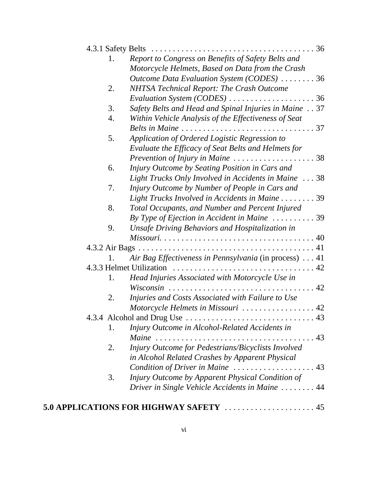| 1. | Report to Congress on Benefits of Safety Belts and                         |    |
|----|----------------------------------------------------------------------------|----|
|    | Motorcycle Helmets, Based on Data from the Crash                           |    |
|    | Outcome Data Evaluation System (CODES) 36                                  |    |
| 2. | NHTSA Technical Report: The Crash Outcome                                  |    |
|    | Evaluation System (CODES) $\ldots \ldots \ldots \ldots \ldots \ldots$ . 36 |    |
| 3. | Safety Belts and Head and Spinal Injuries in Maine 37                      |    |
| 4. | Within Vehicle Analysis of the Effectiveness of Seat                       |    |
|    |                                                                            |    |
| 5. | Application of Ordered Logistic Regression to                              |    |
|    | Evaluate the Efficacy of Seat Belts and Helmets for                        |    |
|    | Prevention of Injury in Maine 38                                           |    |
| 6. | Injury Outcome by Seating Position in Cars and                             |    |
|    | Light Trucks Only Involved in Accidents in Maine 38                        |    |
| 7. | Injury Outcome by Number of People in Cars and                             |    |
|    | Light Trucks Involved in Accidents in Maine 39                             |    |
| 8. | Total Occupants, and Number and Percent Injured                            |    |
|    | By Type of Ejection in Accident in Maine  39                               |    |
| 9. | Unsafe Driving Behaviors and Hospitalization in                            |    |
|    |                                                                            |    |
|    |                                                                            |    |
|    | Air Bag Effectiveness in Pennsylvania (in process)  41                     |    |
|    |                                                                            |    |
| 1. | Head Injuries Associated with Motorcycle Use in                            |    |
|    |                                                                            |    |
| 2. | Injuries and Costs Associated with Failure to Use                          |    |
|    | Motorcycle Helmets in Missouri  42                                         |    |
|    |                                                                            | 43 |
| 1. | Injury Outcome in Alcohol-Related Accidents in                             |    |
|    |                                                                            |    |
| 2. | Injury Outcome for Pedestrians/Bicyclists Involved                         |    |
|    | in Alcohol Related Crashes by Apparent Physical                            |    |
|    | Condition of Driver in Maine  43                                           |    |
| 3. | Injury Outcome by Apparent Physical Condition of                           |    |
|    | Driver in Single Vehicle Accidents in Maine  44                            |    |
|    |                                                                            |    |
|    |                                                                            |    |

## **5.0 APPLICATIONS FOR HIGHWAY SAFETY** . . . . . . . . . . . . . . . . . . . . . 45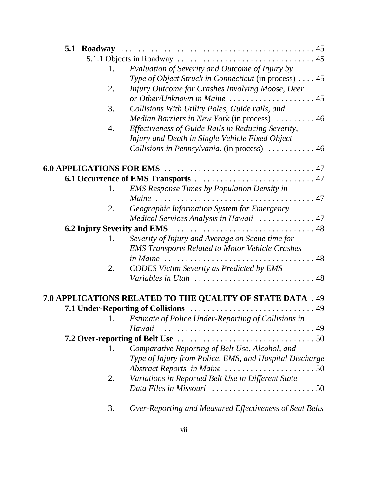| 1. | Evaluation of Severity and Outcome of Injury by                                     |
|----|-------------------------------------------------------------------------------------|
|    | Type of Object Struck in Connecticut (in process)  45                               |
| 2. | Injury Outcome for Crashes Involving Moose, Deer                                    |
|    |                                                                                     |
| 3. | Collisions With Utility Poles, Guide rails, and                                     |
|    | <i>Median Barriers in New York</i> (in process)  46                                 |
| 4. | Effectiveness of Guide Rails in Reducing Severity,                                  |
|    | Injury and Death in Single Vehicle Fixed Object                                     |
|    | Collisions in Pennsylvania. (in process)  46                                        |
|    |                                                                                     |
|    |                                                                                     |
| 1. | <b>EMS Response Times by Population Density in</b>                                  |
|    |                                                                                     |
| 2. | Geographic Information System for Emergency                                         |
|    | Medical Services Analysis in Hawaii  47                                             |
|    |                                                                                     |
| 1. | Severity of Injury and Average on Scene time for                                    |
|    | <b>EMS Transports Related to Motor Vehicle Crashes</b>                              |
|    |                                                                                     |
| 2. | <b>CODES Victim Severity as Predicted by EMS</b>                                    |
|    |                                                                                     |
|    | 7.0 APPLICATIONS RELATED TO THE QUALITY OF STATE DATA . 49                          |
|    |                                                                                     |
| 1. | Estimate of Police Under-Reporting of Collisions in                                 |
|    |                                                                                     |
|    |                                                                                     |
| 1. | Comparative Reporting of Belt Use, Alcohol, and                                     |
|    | Type of Injury from Police, EMS, and Hospital Discharge                             |
|    |                                                                                     |
| 2. | Variations in Reported Belt Use in Different State                                  |
|    | Data Files in Missouri $\ldots \ldots \ldots \ldots \ldots \ldots \ldots \ldots 50$ |
| 3. | Over-Reporting and Measured Effectiveness of Seat Belts                             |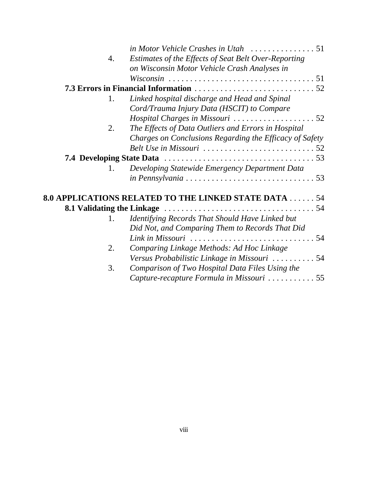| 4.             | Estimates of the Effects of Seat Belt Over-Reporting                                         |  |
|----------------|----------------------------------------------------------------------------------------------|--|
|                | on Wisconsin Motor Vehicle Crash Analyses in                                                 |  |
|                |                                                                                              |  |
|                |                                                                                              |  |
| 1.             | Linked hospital discharge and Head and Spinal                                                |  |
|                | Cord/Trauma Injury Data (HSCIT) to Compare                                                   |  |
|                | Hospital Charges in Missouri $\ldots \ldots \ldots \ldots \ldots \ldots$ 52                  |  |
| 2.             | The Effects of Data Outliers and Errors in Hospital                                          |  |
|                | Charges on Conclusions Regarding the Efficacy of Safety                                      |  |
|                | Belt Use in Missouri $\ldots \ldots \ldots \ldots \ldots \ldots \ldots \ldots 52$            |  |
|                |                                                                                              |  |
| $\mathbf{1}$ . | Developing Statewide Emergency Department Data                                               |  |
|                | $in$ Pennsylvania $\ldots \ldots \ldots \ldots \ldots \ldots \ldots \ldots \ldots \ldots 53$ |  |
|                |                                                                                              |  |
|                | <b>8.0 APPLICATIONS RELATED TO THE LINKED STATE DATA  54</b>                                 |  |
|                |                                                                                              |  |
| 1.             | Identifying Records That Should Have Linked but                                              |  |
|                | Did Not, and Comparing Them to Records That Did                                              |  |
|                |                                                                                              |  |
| 2.             | Comparing Linkage Methods: Ad Hoc Linkage                                                    |  |
|                | Versus Probabilistic Linkage in Missouri  54                                                 |  |
| 3.             | Comparison of Two Hospital Data Files Using the                                              |  |
|                | Capture-recapture Formula in Missouri 55                                                     |  |
|                |                                                                                              |  |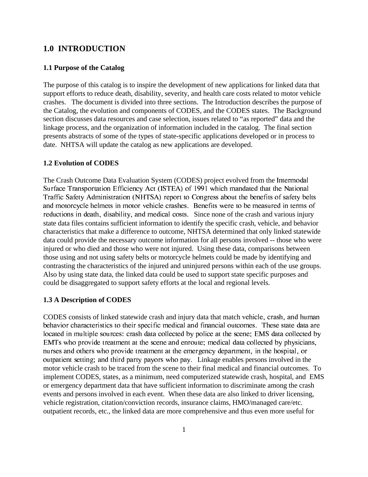#### **1.0 INTRODUCTION**

#### **1.1 Purpose of the Catalog**

The purpose of this catalog is to inspire the development of new applications for linked data that support efforts to reduce death, disability, severity, and health care costs related to motor vehicle crashes. The document is divided into three sections. The Introduction describes the purpose of the Catalog, the evolution and components of CODES, and the CODES states. The Background section discusses data resources and case selection, issues related to "as reported" data and the linkage process, and the organization of information included in the catalog. The final section presents abstracts of some of the types of state-specific applications developed or in process to date. NHTSA will update the catalog as new applications are developed.

#### **1.2 Evolution of CODES**

The Crash Outcome Data Evaluation System (CODES) project evolved from the Intermodal Surface Transportation Efficiency Act (ISTEA) of 1991 which mandated that the National Traffic Safety Administration (NHTSA) report to Congress about the benefits of safety belts and motorcycle helmets in motor vehicle crashes. Benefits were to be measured in terms of reductions in death, disability, and medical costs. Since none of the crash and various injury state data files contains sufficient information to identify the specific crash, vehicle, and behavior characteristics that make a difference to outcome, NHTSA determined that only linked statewide data could provide the necessary outcome information for all persons involved -- those who were injured or who died and those who were not injured. Using these data, comparisons between those using and not using safety belts or motorcycle helmets could be made by identifying and contrasting the characteristics of the injured and uninjured persons within each of the use groups. Also by using state data, the linked data could be used to support state specific purposes and could be disaggregated to support safety efforts at the local and regional levels.

#### **1.3 A Description of CODES**

CODES consists of linked statewide crash and injury data that match vehicle, crash, and human behavior characteristics to their specific medical and financial outcomes. These state data are located in multiple sources: crash data collected by police at the scene; EMS data collected by EMTs who provide treatment at the scene and enroute; medical data collected by physicians, nurses and others who provide treatment at the emergency department, in the hospital, or outpatient setting; and third party payors who pay. Linkage enables persons involved in the motor vehicle crash to be traced from the scene to their final medical and financial outcomes. To implement CODES, states, as a minimum, need computerized statewide crash, hospital, and EMS or emergency department data that have sufficient information to discriminate among the crash events and persons involved in each event. When these data are also linked to driver licensing, vehicle registration, citation/conviction records, insurance claims, HMO/managed care/etc. outpatient records, etc., the linked data are more comprehensive and thus even more useful for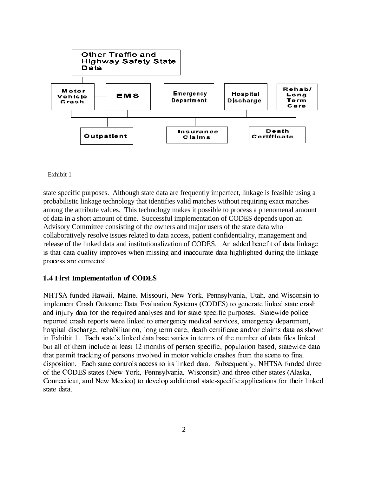

#### Exhibit 1

state specific purposes. Although state data are frequently imperfect, linkage is feasible using a probabilistic linkage technology that identifies valid matches without requiring exact matches among the attribute values. This technology makes it possible to process a phenomenal amount of data in a short amount of time. Successful implementation of CODES depends upon an Advisory Committee consisting of the owners and major users of the state data who collaboratively resolve issues related to data access, patient confidentiality, management and release of the linked data and institutionalization of CODES. An added benefit of data linkage is that data quality improves when missing and inaccurate data highlighted during the linkage process are corrected.

#### 1.4 First Implementation of CODES

NHTSA funded Hawaii, Maine, Missouri, New York, Pennsylvania, Utah, and Wisconsin to implement Crash Outcome Data Evaluation Systems (CODES) to generate linked state crash and injury data for the required analyses and for state specific purposes. Statewide police reported crash reports were linked to emergency medical services, emergency department, hospital discharge, rehabilitation, long term care, death certificate and/or claims data as shown in Exhibit 1. Each state's linked data base varies in terms of the number of data files linked but all of them include at least 12 months of person-specific, population-based, statewide data that permit tracking of persons involved in motor vehicle crashes from the scene to final disposition. Each state controls access to its linked data. Subsequently, NHTSA funded three of the CODES states (New York, Pennsylvania, Wisconsin) and three other states (Alaska, Connecticut, and New Mexico) to develop additional state-specific applications for their linked state data.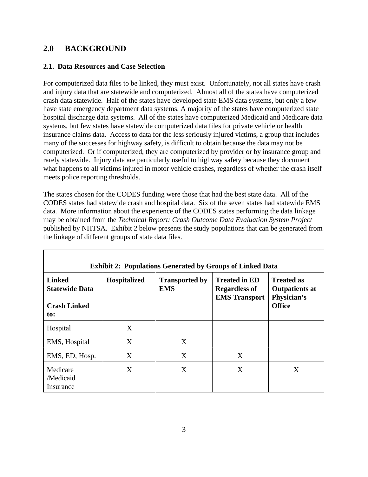#### **2.0 BACKGROUND**

#### **2.1. Data Resources and Case Selection**

For computerized data files to be linked, they must exist. Unfortunately, not all states have crash and injury data that are statewide and computerized. Almost all of the states have computerized crash data statewide. Half of the states have developed state EMS data systems, but only a few have state emergency department data systems. A majority of the states have computerized state hospital discharge data systems. All of the states have computerized Medicaid and Medicare data systems, but few states have statewide computerized data files for private vehicle or health insurance claims data. Access to data for the less seriously injured victims, a group that includes many of the successes for highway safety, is difficult to obtain because the data may not be computerized. Or if computerized, they are computerized by provider or by insurance group and rarely statewide. Injury data are particularly useful to highway safety because they document what happens to all victims injured in motor vehicle crashes, regardless of whether the crash itself meets police reporting thresholds.

The states chosen for the CODES funding were those that had the best state data. All of the CODES states had statewide crash and hospital data. Six of the seven states had statewide EMS data. More information about the experience of the CODES states performing the data linkage may be obtained from the *Technical Report: Crash Outcome Data Evaluation System Project* published by NHTSA. Exhibit 2 below presents the study populations that can be generated from the linkage of different groups of state data files.

| <b>Exhibit 2: Populations Generated by Groups of Linked Data</b> |              |                                     |                                                                      |                                                           |  |
|------------------------------------------------------------------|--------------|-------------------------------------|----------------------------------------------------------------------|-----------------------------------------------------------|--|
| <b>Linked</b><br><b>Statewide Data</b>                           | Hospitalized | <b>Transported by</b><br><b>EMS</b> | <b>Treated in ED</b><br><b>Regardless of</b><br><b>EMS</b> Transport | <b>Treated as</b><br><b>Outpatients at</b><br>Physician's |  |
| <b>Crash Linked</b><br>to:                                       |              |                                     |                                                                      | <b>Office</b>                                             |  |
| Hospital                                                         | X            |                                     |                                                                      |                                                           |  |
| EMS, Hospital                                                    | X            | X                                   |                                                                      |                                                           |  |
| EMS, ED, Hosp.                                                   | X            | X                                   | X                                                                    |                                                           |  |
| Medicare<br>/Medicaid<br>Insurance                               | X            | X                                   | X                                                                    | X                                                         |  |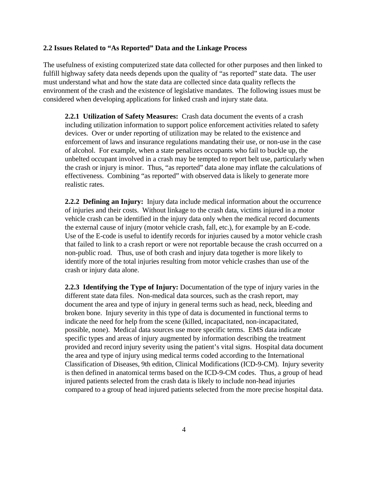#### **2.2 Issues Related to "As Reported" Data and the Linkage Process**

The usefulness of existing computerized state data collected for other purposes and then linked to fulfill highway safety data needs depends upon the quality of "as reported" state data. The user must understand what and how the state data are collected since data quality reflects the environment of the crash and the existence of legislative mandates. The following issues must be considered when developing applications for linked crash and injury state data.

**2.2.1 Utilization of Safety Measures:** Crash data document the events of a crash including utilization information to support police enforcement activities related to safety devices. Over or under reporting of utilization may be related to the existence and enforcement of laws and insurance regulations mandating their use, or non-use in the case of alcohol. For example, when a state penalizes occupants who fail to buckle up, the unbelted occupant involved in a crash may be tempted to report belt use, particularly when the crash or injury is minor. Thus, "as reported" data alone may inflate the calculations of effectiveness. Combining "as reported" with observed data is likely to generate more realistic rates.

**2.2.2 Defining an Injury:** Injury data include medical information about the occurrence of injuries and their costs. Without linkage to the crash data, victims injured in a motor vehicle crash can be identified in the injury data only when the medical record documents the external cause of injury (motor vehicle crash, fall, etc.), for example by an E-code. Use of the E-code is useful to identify records for injuries caused by a motor vehicle crash that failed to link to a crash report or were not reportable because the crash occurred on a non-public road. Thus, use of both crash and injury data together is more likely to identify more of the total injuries resulting from motor vehicle crashes than use of the crash or injury data alone.

**2.2.3 Identifying the Type of Injury:** Documentation of the type of injury varies in the different state data files. Non-medical data sources, such as the crash report, may document the area and type of injury in general terms such as head, neck, bleeding and broken bone. Injury severity in this type of data is documented in functional terms to indicate the need for help from the scene (killed, incapacitated, non-incapacitated, possible, none). Medical data sources use more specific terms. EMS data indicate specific types and areas of injury augmented by information describing the treatment provided and record injury severity using the patient's vital signs. Hospital data document the area and type of injury using medical terms coded according to the International Classification of Diseases, 9th edition, Clinical Modifications (ICD-9-CM). Injury severity is then defined in anatomical terms based on the ICD-9-CM codes. Thus, a group of head injured patients selected from the crash data is likely to include non-head injuries compared to a group of head injured patients selected from the more precise hospital data.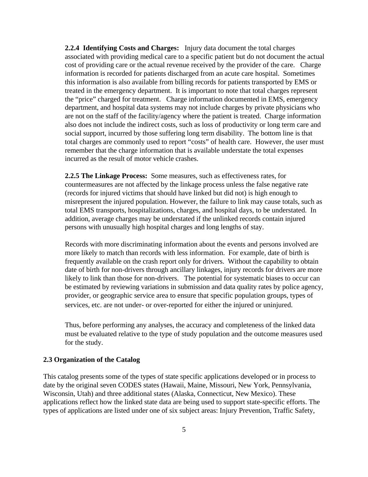**2.2.4 Identifying Costs and Charges:** Injury data document the total charges associated with providing medical care to a specific patient but do not document the actual cost of providing care or the actual revenue received by the provider of the care. Charge information is recorded for patients discharged from an acute care hospital. Sometimes this information is also available from billing records for patients transported by EMS or treated in the emergency department. It is important to note that total charges represent the "price" charged for treatment. Charge information documented in EMS, emergency department, and hospital data systems may not include charges by private physicians who are not on the staff of the facility/agency where the patient is treated. Charge information also does not include the indirect costs, such as loss of productivity or long term care and social support, incurred by those suffering long term disability. The bottom line is that total charges are commonly used to report "costs" of health care. However, the user must remember that the charge information that is available understate the total expenses incurred as the result of motor vehicle crashes.

**2.2.5 The Linkage Process:** Some measures, such as effectiveness rates, for countermeasures are not affected by the linkage process unless the false negative rate (records for injured victims that should have linked but did not) is high enough to misrepresent the injured population. However, the failure to link may cause totals, such as total EMS transports, hospitalizations, charges, and hospital days, to be understated. In addition, average charges may be understated if the unlinked records contain injured persons with unusually high hospital charges and long lengths of stay.

Records with more discriminating information about the events and persons involved are more likely to match than records with less information. For example, date of birth is frequently available on the crash report only for drivers. Without the capability to obtain date of birth for non-drivers through ancillary linkages, injury records for drivers are more likely to link than those for non-drivers. The potential for systematic biases to occur can be estimated by reviewing variations in submission and data quality rates by police agency, provider, or geographic service area to ensure that specific population groups, types of services, etc. are not under- or over-reported for either the injured or uninjured.

Thus, before performing any analyses, the accuracy and completeness of the linked data must be evaluated relative to the type of study population and the outcome measures used for the study.

#### **2.3 Organization of the Catalog**

This catalog presents some of the types of state specific applications developed or in process to date by the original seven CODES states (Hawaii, Maine, Missouri, New York, Pennsylvania, Wisconsin, Utah) and three additional states (Alaska, Connecticut, New Mexico). These applications reflect how the linked state data are being used to support state-specific efforts. The types of applications are listed under one of six subject areas: Injury Prevention, Traffic Safety,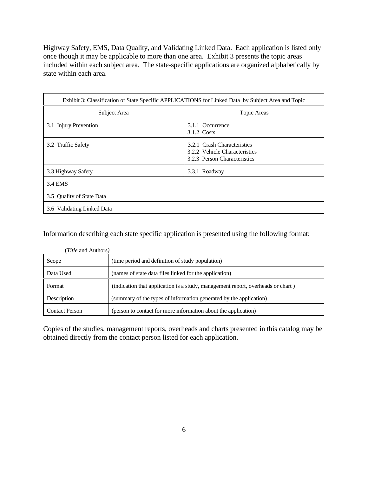Highway Safety, EMS, Data Quality, and Validating Linked Data. Each application is listed only once though it may be applicable to more than one area. Exhibit 3 presents the topic areas included within each subject area. The state-specific applications are organized alphabetically by state within each area.

| Exhibit 3: Classification of State Specific APPLICATIONS for Linked Data by Subject Area and Topic |                                                                                              |  |
|----------------------------------------------------------------------------------------------------|----------------------------------------------------------------------------------------------|--|
| Subject Area                                                                                       | Topic Areas                                                                                  |  |
| 3.1 Injury Prevention                                                                              | 3.1.1 Occurrence<br>3.1.2 Costs                                                              |  |
| 3.2 Traffic Safety                                                                                 | 3.2.1 Crash Characteristics<br>3.2.2 Vehicle Characteristics<br>3.2.3 Person Characteristics |  |
| 3.3 Highway Safety                                                                                 | 3.3.1 Roadway                                                                                |  |
| 3.4 EMS                                                                                            |                                                                                              |  |
| 3.5 Quality of State Data                                                                          |                                                                                              |  |
| 3.6 Validating Linked Data                                                                         |                                                                                              |  |

Information describing each state specific application is presented using the following format:

| ( <i>Title</i> and Authors) |                                                                                 |  |  |
|-----------------------------|---------------------------------------------------------------------------------|--|--|
| Scope                       | (time period and definition of study population)                                |  |  |
| Data Used                   | (names of state data files linked for the application)                          |  |  |
| Format                      | (indication that application is a study, management report, overheads or chart) |  |  |
| Description                 | (summary of the types of information generated by the application)              |  |  |
| <b>Contact Person</b>       | (person to contact for more information about the application)                  |  |  |

Copies of the studies, management reports, overheads and charts presented in this catalog may be obtained directly from the contact person listed for each application.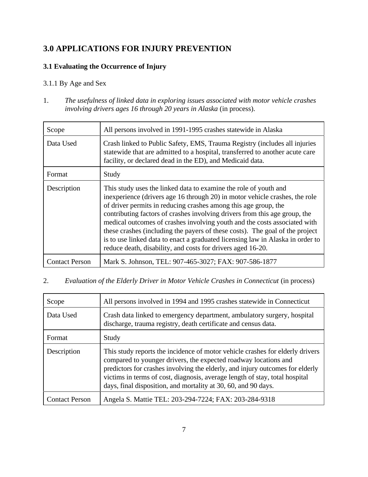## **3.0 APPLICATIONS FOR INJURY PREVENTION**

#### **3.1 Evaluating the Occurrence of Injury**

#### 3.1.1 By Age and Sex

1. *The usefulness of linked data in exploring issues associated with motor vehicle crashes involving drivers ages 16 through 20 years in Alaska* (in process).

| Scope                 | All persons involved in 1991-1995 crashes statewide in Alaska                                                                                                                                                                                                                                                                                                                                                                                                                                                                                                                                                  |
|-----------------------|----------------------------------------------------------------------------------------------------------------------------------------------------------------------------------------------------------------------------------------------------------------------------------------------------------------------------------------------------------------------------------------------------------------------------------------------------------------------------------------------------------------------------------------------------------------------------------------------------------------|
| Data Used             | Crash linked to Public Safety, EMS, Trauma Registry (includes all injuries<br>statewide that are admitted to a hospital, transferred to another acute care<br>facility, or declared dead in the ED), and Medicaid data.                                                                                                                                                                                                                                                                                                                                                                                        |
| Format                | Study                                                                                                                                                                                                                                                                                                                                                                                                                                                                                                                                                                                                          |
| Description           | This study uses the linked data to examine the role of youth and<br>inexperience (drivers age 16 through 20) in motor vehicle crashes, the role<br>of driver permits in reducing crashes among this age group, the<br>contributing factors of crashes involving drivers from this age group, the<br>medical outcomes of crashes involving youth and the costs associated with<br>these crashes (including the payers of these costs). The goal of the project<br>is to use linked data to enact a graduated licensing law in Alaska in order to<br>reduce death, disability, and costs for drivers aged 16-20. |
| <b>Contact Person</b> | Mark S. Johnson, TEL: 907-465-3027; FAX: 907-586-1877                                                                                                                                                                                                                                                                                                                                                                                                                                                                                                                                                          |

2. *Evaluation of the Elderly Driver in Motor Vehicle Crashes in Connecticut* (in process)

| Scope                 | All persons involved in 1994 and 1995 crashes statewide in Connecticut                                                                                                                                                                                                                                                                                                             |
|-----------------------|------------------------------------------------------------------------------------------------------------------------------------------------------------------------------------------------------------------------------------------------------------------------------------------------------------------------------------------------------------------------------------|
| Data Used             | Crash data linked to emergency department, ambulatory surgery, hospital<br>discharge, trauma registry, death certificate and census data.                                                                                                                                                                                                                                          |
| Format                | Study                                                                                                                                                                                                                                                                                                                                                                              |
| Description           | This study reports the incidence of motor vehicle crashes for elderly drivers<br>compared to younger drivers, the expected roadway locations and<br>predictors for crashes involving the elderly, and injury outcomes for elderly<br>victims in terms of cost, diagnosis, average length of stay, total hospital<br>days, final disposition, and mortality at 30, 60, and 90 days. |
| <b>Contact Person</b> | Angela S. Mattie TEL: 203-294-7224; FAX: 203-284-9318                                                                                                                                                                                                                                                                                                                              |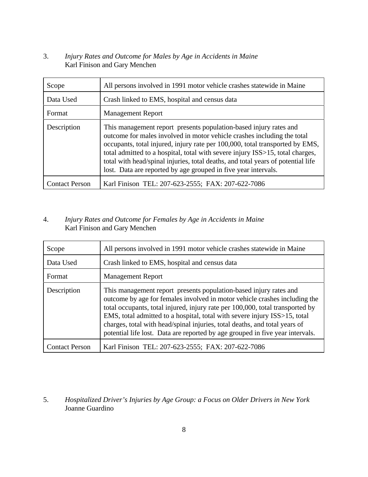3. *Injury Rates and Outcome for Males by Age in Accidents in Maine* Karl Finison and Gary Menchen

| Scope                 | All persons involved in 1991 motor vehicle crashes statewide in Maine                                                                                                                                                                                                                                                                                                                                                                                               |
|-----------------------|---------------------------------------------------------------------------------------------------------------------------------------------------------------------------------------------------------------------------------------------------------------------------------------------------------------------------------------------------------------------------------------------------------------------------------------------------------------------|
| Data Used             | Crash linked to EMS, hospital and census data                                                                                                                                                                                                                                                                                                                                                                                                                       |
| Format                | <b>Management Report</b>                                                                                                                                                                                                                                                                                                                                                                                                                                            |
| Description           | This management report presents population-based injury rates and<br>outcome for males involved in motor vehicle crashes including the total<br>occupants, total injured, injury rate per 100,000, total transported by EMS,<br>total admitted to a hospital, total with severe injury ISS>15, total charges,<br>total with head/spinal injuries, total deaths, and total years of potential life<br>lost. Data are reported by age grouped in five year intervals. |
| <b>Contact Person</b> | Karl Finison TEL: 207-623-2555; FAX: 207-622-7086                                                                                                                                                                                                                                                                                                                                                                                                                   |

#### 4. *Injury Rates and Outcome for Females by Age in Accidents in Maine* Karl Finison and Gary Menchen

| Scope                 | All persons involved in 1991 motor vehicle crashes statewide in Maine                                                                                                                                                                                                                                                                                                                                                                                                        |
|-----------------------|------------------------------------------------------------------------------------------------------------------------------------------------------------------------------------------------------------------------------------------------------------------------------------------------------------------------------------------------------------------------------------------------------------------------------------------------------------------------------|
| Data Used             | Crash linked to EMS, hospital and census data                                                                                                                                                                                                                                                                                                                                                                                                                                |
| Format                | <b>Management Report</b>                                                                                                                                                                                                                                                                                                                                                                                                                                                     |
| Description           | This management report presents population-based injury rates and<br>outcome by age for females involved in motor vehicle crashes including the<br>total occupants, total injured, injury rate per 100,000, total transported by<br>EMS, total admitted to a hospital, total with severe injury ISS>15, total<br>charges, total with head/spinal injuries, total deaths, and total years of<br>potential life lost. Data are reported by age grouped in five year intervals. |
| <b>Contact Person</b> | Karl Finison TEL: 207-623-2555; FAX: 207-622-7086                                                                                                                                                                                                                                                                                                                                                                                                                            |

5. *Hospitalized Driver's Injuries by Age Group: a Focus on Older Drivers in New York* Joanne Guardino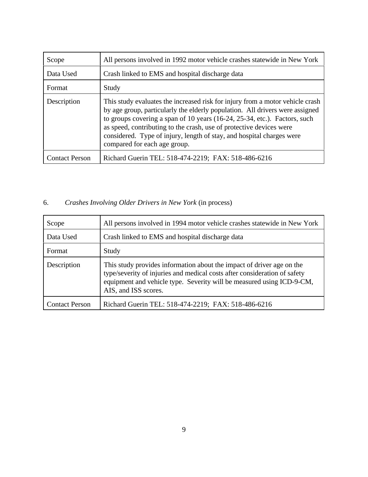| Scope                 | All persons involved in 1992 motor vehicle crashes statewide in New York                                                                                                                                                                                                                                                                                                                                                   |
|-----------------------|----------------------------------------------------------------------------------------------------------------------------------------------------------------------------------------------------------------------------------------------------------------------------------------------------------------------------------------------------------------------------------------------------------------------------|
| Data Used             | Crash linked to EMS and hospital discharge data                                                                                                                                                                                                                                                                                                                                                                            |
| Format                | Study                                                                                                                                                                                                                                                                                                                                                                                                                      |
| Description           | This study evaluates the increased risk for injury from a motor vehicle crash<br>by age group, particularly the elderly population. All drivers were assigned<br>to groups covering a span of 10 years (16-24, 25-34, etc.). Factors, such<br>as speed, contributing to the crash, use of protective devices were<br>considered. Type of injury, length of stay, and hospital charges were<br>compared for each age group. |
| <b>Contact Person</b> | Richard Guerin TEL: 518-474-2219; FAX: 518-486-6216                                                                                                                                                                                                                                                                                                                                                                        |

## 6. *Crashes Involving Older Drivers in New York* (in process)

| Scope                 | All persons involved in 1994 motor vehicle crashes statewide in New York                                                                                                                                                                            |
|-----------------------|-----------------------------------------------------------------------------------------------------------------------------------------------------------------------------------------------------------------------------------------------------|
| Data Used             | Crash linked to EMS and hospital discharge data                                                                                                                                                                                                     |
| Format                | Study                                                                                                                                                                                                                                               |
| Description           | This study provides information about the impact of driver age on the<br>type/severity of injuries and medical costs after consideration of safety<br>equipment and vehicle type. Severity will be measured using ICD-9-CM,<br>AIS, and ISS scores. |
| <b>Contact Person</b> | Richard Guerin TEL: 518-474-2219; FAX: 518-486-6216                                                                                                                                                                                                 |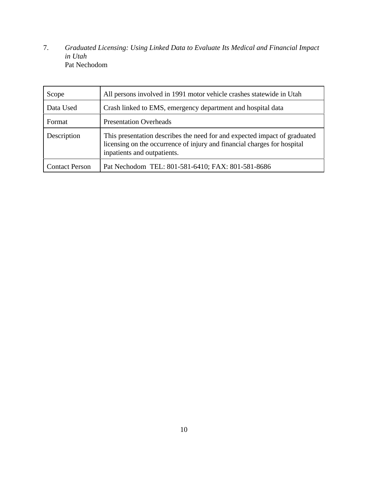7. *Graduated Licensing: Using Linked Data to Evaluate Its Medical and Financial Impact in Utah* Pat Nechodom

| Scope                 | All persons involved in 1991 motor vehicle crashes statewide in Utah                                                                                                                 |
|-----------------------|--------------------------------------------------------------------------------------------------------------------------------------------------------------------------------------|
| Data Used             | Crash linked to EMS, emergency department and hospital data                                                                                                                          |
| Format                | <b>Presentation Overheads</b>                                                                                                                                                        |
| Description           | This presentation describes the need for and expected impact of graduated<br>licensing on the occurrence of injury and financial charges for hospital<br>inpatients and outpatients. |
| <b>Contact Person</b> | Pat Nechodom TEL: 801-581-6410; FAX: 801-581-8686                                                                                                                                    |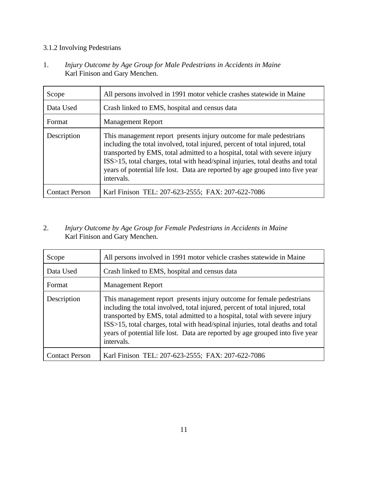#### 3.1.2 Involving Pedestrians

1. *Injury Outcome by Age Group for Male Pedestrians in Accidents in Maine* Karl Finison and Gary Menchen.

| Scope                 | All persons involved in 1991 motor vehicle crashes statewide in Maine                                                                                                                                                                                                                                                                                                                                              |
|-----------------------|--------------------------------------------------------------------------------------------------------------------------------------------------------------------------------------------------------------------------------------------------------------------------------------------------------------------------------------------------------------------------------------------------------------------|
| Data Used             | Crash linked to EMS, hospital and census data                                                                                                                                                                                                                                                                                                                                                                      |
| Format                | <b>Management Report</b>                                                                                                                                                                                                                                                                                                                                                                                           |
| Description           | This management report presents injury outcome for male pedestrians<br>including the total involved, total injured, percent of total injured, total<br>transported by EMS, total admitted to a hospital, total with severe injury<br>ISS>15, total charges, total with head/spinal injuries, total deaths and total<br>years of potential life lost. Data are reported by age grouped into five year<br>intervals. |
| <b>Contact Person</b> | Karl Finison TEL: 207-623-2555; FAX: 207-622-7086                                                                                                                                                                                                                                                                                                                                                                  |

#### 2. *Injury Outcome by Age Group for Female Pedestrians in Accidents in Maine* Karl Finison and Gary Menchen.

| Scope                 | All persons involved in 1991 motor vehicle crashes statewide in Maine                                                                                                                                                                                                                                                                                                                                                |
|-----------------------|----------------------------------------------------------------------------------------------------------------------------------------------------------------------------------------------------------------------------------------------------------------------------------------------------------------------------------------------------------------------------------------------------------------------|
| Data Used             | Crash linked to EMS, hospital and census data                                                                                                                                                                                                                                                                                                                                                                        |
| Format                | <b>Management Report</b>                                                                                                                                                                                                                                                                                                                                                                                             |
| Description           | This management report presents injury outcome for female pedestrians<br>including the total involved, total injured, percent of total injured, total<br>transported by EMS, total admitted to a hospital, total with severe injury<br>ISS>15, total charges, total with head/spinal injuries, total deaths and total<br>years of potential life lost. Data are reported by age grouped into five year<br>intervals. |
| <b>Contact Person</b> | Karl Finison TEL: 207-623-2555; FAX: 207-622-7086                                                                                                                                                                                                                                                                                                                                                                    |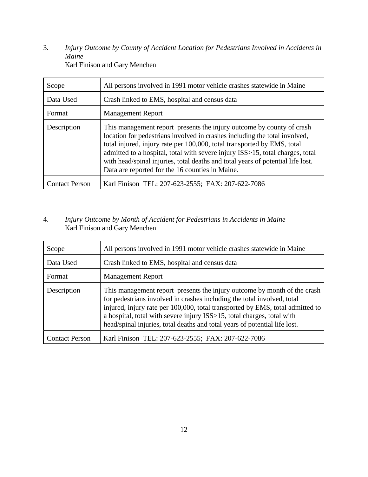3*. Injury Outcome by County of Accident Location for Pedestrians Involved in Accidents in Maine* Karl Finison and Gary Menchen

| Scope                 | All persons involved in 1991 motor vehicle crashes statewide in Maine                                                                                                                                                                                                                                                                                                                                                                                 |
|-----------------------|-------------------------------------------------------------------------------------------------------------------------------------------------------------------------------------------------------------------------------------------------------------------------------------------------------------------------------------------------------------------------------------------------------------------------------------------------------|
| Data Used             | Crash linked to EMS, hospital and census data                                                                                                                                                                                                                                                                                                                                                                                                         |
| Format                | <b>Management Report</b>                                                                                                                                                                                                                                                                                                                                                                                                                              |
| Description           | This management report presents the injury outcome by county of crash<br>location for pedestrians involved in crashes including the total involved,<br>total injured, injury rate per 100,000, total transported by EMS, total<br>admitted to a hospital, total with severe injury ISS>15, total charges, total<br>with head/spinal injuries, total deaths and total years of potential life lost.<br>Data are reported for the 16 counties in Maine. |
| <b>Contact Person</b> | Karl Finison TEL: 207-623-2555; FAX: 207-622-7086                                                                                                                                                                                                                                                                                                                                                                                                     |

#### 4. *Injury Outcome by Month of Accident for Pedestrians in Accidents in Maine* Karl Finison and Gary Menchen

| Scope                 | All persons involved in 1991 motor vehicle crashes statewide in Maine                                                                                                                                                                                                                                                                                                                        |
|-----------------------|----------------------------------------------------------------------------------------------------------------------------------------------------------------------------------------------------------------------------------------------------------------------------------------------------------------------------------------------------------------------------------------------|
| Data Used             | Crash linked to EMS, hospital and census data                                                                                                                                                                                                                                                                                                                                                |
| Format                | <b>Management Report</b>                                                                                                                                                                                                                                                                                                                                                                     |
| Description           | This management report presents the injury outcome by month of the crash<br>for pedestrians involved in crashes including the total involved, total<br>injured, injury rate per 100,000, total transported by EMS, total admitted to<br>a hospital, total with severe injury ISS>15, total charges, total with<br>head/spinal injuries, total deaths and total years of potential life lost. |
| <b>Contact Person</b> | Karl Finison TEL: 207-623-2555; FAX: 207-622-7086                                                                                                                                                                                                                                                                                                                                            |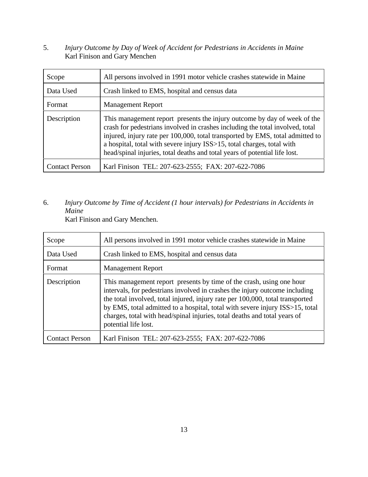5. *Injury Outcome by Day of Week of Accident for Pedestrians in Accidents in Maine* Karl Finison and Gary Menchen

| Scope                 | All persons involved in 1991 motor vehicle crashes statewide in Maine                                                                                                                                                                                                                                                                                                                              |
|-----------------------|----------------------------------------------------------------------------------------------------------------------------------------------------------------------------------------------------------------------------------------------------------------------------------------------------------------------------------------------------------------------------------------------------|
| Data Used             | Crash linked to EMS, hospital and census data                                                                                                                                                                                                                                                                                                                                                      |
| Format                | <b>Management Report</b>                                                                                                                                                                                                                                                                                                                                                                           |
| Description           | This management report presents the injury outcome by day of week of the<br>crash for pedestrians involved in crashes including the total involved, total<br>injured, injury rate per 100,000, total transported by EMS, total admitted to<br>a hospital, total with severe injury ISS>15, total charges, total with<br>head/spinal injuries, total deaths and total years of potential life lost. |
| <b>Contact Person</b> | Karl Finison TEL: 207-623-2555; FAX: 207-622-7086                                                                                                                                                                                                                                                                                                                                                  |

6. *Injury Outcome by Time of Accident (1 hour intervals) for Pedestrians in Accidents in Maine*

Karl Finison and Gary Menchen.

| Scope                 | All persons involved in 1991 motor vehicle crashes statewide in Maine                                                                                                                                                                                                                                                                                                                                                     |
|-----------------------|---------------------------------------------------------------------------------------------------------------------------------------------------------------------------------------------------------------------------------------------------------------------------------------------------------------------------------------------------------------------------------------------------------------------------|
| Data Used             | Crash linked to EMS, hospital and census data                                                                                                                                                                                                                                                                                                                                                                             |
| Format                | <b>Management Report</b>                                                                                                                                                                                                                                                                                                                                                                                                  |
| Description           | This management report presents by time of the crash, using one hour<br>intervals, for pedestrians involved in crashes the injury outcome including<br>the total involved, total injured, injury rate per 100,000, total transported<br>by EMS, total admitted to a hospital, total with severe injury ISS>15, total<br>charges, total with head/spinal injuries, total deaths and total years of<br>potential life lost. |
| <b>Contact Person</b> | Karl Finison TEL: 207-623-2555; FAX: 207-622-7086                                                                                                                                                                                                                                                                                                                                                                         |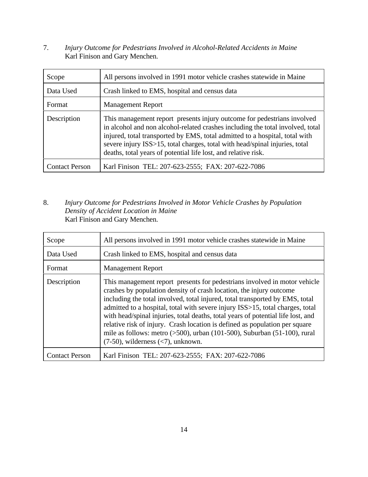7. *Injury Outcome for Pedestrians Involved in Alcohol-Related Accidents in Maine* Karl Finison and Gary Menchen.

| Scope                 | All persons involved in 1991 motor vehicle crashes statewide in Maine                                                                                                                                                                                                                                                                                                                     |
|-----------------------|-------------------------------------------------------------------------------------------------------------------------------------------------------------------------------------------------------------------------------------------------------------------------------------------------------------------------------------------------------------------------------------------|
| Data Used             | Crash linked to EMS, hospital and census data                                                                                                                                                                                                                                                                                                                                             |
| Format                | <b>Management Report</b>                                                                                                                                                                                                                                                                                                                                                                  |
| Description           | This management report presents injury outcome for pedestrians involved<br>in alcohol and non alcohol-related crashes including the total involved, total<br>injured, total transported by EMS, total admitted to a hospital, total with<br>severe injury ISS>15, total charges, total with head/spinal injuries, total<br>deaths, total years of potential life lost, and relative risk. |
| <b>Contact Person</b> | Karl Finison TEL: 207-623-2555; FAX: 207-622-7086                                                                                                                                                                                                                                                                                                                                         |

8. *Injury Outcome for Pedestrians Involved in Motor Vehicle Crashes by Population Density of Accident Location in Maine* Karl Finison and Gary Menchen.

| Scope                 | All persons involved in 1991 motor vehicle crashes statewide in Maine                                                                                                                                                                                                                                                                                                                                                                                                                                                                                                                                                 |
|-----------------------|-----------------------------------------------------------------------------------------------------------------------------------------------------------------------------------------------------------------------------------------------------------------------------------------------------------------------------------------------------------------------------------------------------------------------------------------------------------------------------------------------------------------------------------------------------------------------------------------------------------------------|
| Data Used             | Crash linked to EMS, hospital and census data                                                                                                                                                                                                                                                                                                                                                                                                                                                                                                                                                                         |
| Format                | <b>Management Report</b>                                                                                                                                                                                                                                                                                                                                                                                                                                                                                                                                                                                              |
| Description           | This management report presents for pedestrians involved in motor vehicle<br>crashes by population density of crash location, the injury outcome<br>including the total involved, total injured, total transported by EMS, total<br>admitted to a hospital, total with severe injury ISS>15, total charges, total<br>with head/spinal injuries, total deaths, total years of potential life lost, and<br>relative risk of injury. Crash location is defined as population per square<br>mile as follows: metro $($ >500), urban $(101-500)$ , Suburban $(51-100)$ , rural<br>$(7-50)$ , wilderness $(< 7)$ , unknown. |
| <b>Contact Person</b> | Karl Finison TEL: 207-623-2555; FAX: 207-622-7086                                                                                                                                                                                                                                                                                                                                                                                                                                                                                                                                                                     |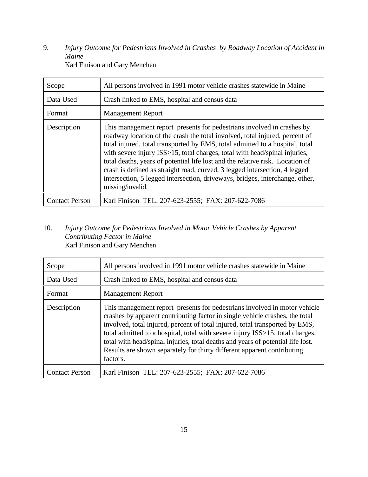9. *Injury Outcome for Pedestrians Involved in Crashes by Roadway Location of Accident in Maine* Karl Finison and Gary Menchen

| Scope                 | All persons involved in 1991 motor vehicle crashes statewide in Maine                                                                                                                                                                                                                                                                                                                                                                                                                                                                                                                  |
|-----------------------|----------------------------------------------------------------------------------------------------------------------------------------------------------------------------------------------------------------------------------------------------------------------------------------------------------------------------------------------------------------------------------------------------------------------------------------------------------------------------------------------------------------------------------------------------------------------------------------|
| Data Used             | Crash linked to EMS, hospital and census data                                                                                                                                                                                                                                                                                                                                                                                                                                                                                                                                          |
| Format                | <b>Management Report</b>                                                                                                                                                                                                                                                                                                                                                                                                                                                                                                                                                               |
| Description           | This management report presents for pedestrians involved in crashes by<br>roadway location of the crash the total involved, total injured, percent of<br>total injured, total transported by EMS, total admitted to a hospital, total<br>with severe injury ISS>15, total charges, total with head/spinal injuries,<br>total deaths, years of potential life lost and the relative risk. Location of<br>crash is defined as straight road, curved, 3 legged intersection, 4 legged<br>intersection, 5 legged intersection, driveways, bridges, interchange, other,<br>missing/invalid. |
| <b>Contact Person</b> | Karl Finison TEL: 207-623-2555; FAX: 207-622-7086                                                                                                                                                                                                                                                                                                                                                                                                                                                                                                                                      |

#### 10. *Injury Outcome for Pedestrians Involved in Motor Vehicle Crashes by Apparent Contributing Factor in Maine* Karl Finison and Gary Menchen

| Scope                 | All persons involved in 1991 motor vehicle crashes statewide in Maine                                                                                                                                                                                                                                                                                                                                                                                                                                |
|-----------------------|------------------------------------------------------------------------------------------------------------------------------------------------------------------------------------------------------------------------------------------------------------------------------------------------------------------------------------------------------------------------------------------------------------------------------------------------------------------------------------------------------|
| Data Used             | Crash linked to EMS, hospital and census data                                                                                                                                                                                                                                                                                                                                                                                                                                                        |
| Format                | <b>Management Report</b>                                                                                                                                                                                                                                                                                                                                                                                                                                                                             |
| Description           | This management report presents for pedestrians involved in motor vehicle<br>crashes by apparent contributing factor in single vehicle crashes, the total<br>involved, total injured, percent of total injured, total transported by EMS,<br>total admitted to a hospital, total with severe injury ISS>15, total charges,<br>total with head/spinal injuries, total deaths and years of potential life lost.<br>Results are shown separately for thirty different apparent contributing<br>factors. |
| <b>Contact Person</b> | Karl Finison TEL: 207-623-2555; FAX: 207-622-7086                                                                                                                                                                                                                                                                                                                                                                                                                                                    |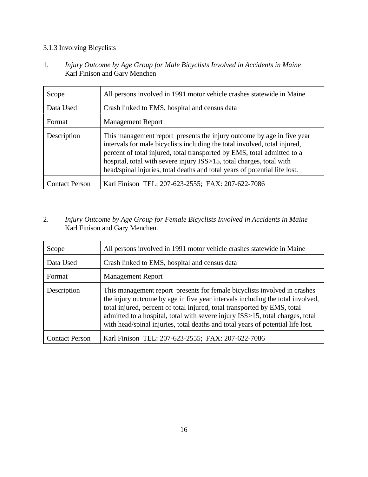#### 3.1.3 Involving Bicyclists

1. *Injury Outcome by Age Group for Male Bicyclists Involved in Accidents in Maine* Karl Finison and Gary Menchen

| Scope                 | All persons involved in 1991 motor vehicle crashes statewide in Maine                                                                                                                                                                                                                                                                                                                 |
|-----------------------|---------------------------------------------------------------------------------------------------------------------------------------------------------------------------------------------------------------------------------------------------------------------------------------------------------------------------------------------------------------------------------------|
| Data Used             | Crash linked to EMS, hospital and census data                                                                                                                                                                                                                                                                                                                                         |
| Format                | <b>Management Report</b>                                                                                                                                                                                                                                                                                                                                                              |
| Description           | This management report presents the injury outcome by age in five year<br>intervals for male bicyclists including the total involved, total injured,<br>percent of total injured, total transported by EMS, total admitted to a<br>hospital, total with severe injury ISS>15, total charges, total with<br>head/spinal injuries, total deaths and total years of potential life lost. |
| <b>Contact Person</b> | Karl Finison TEL: 207-623-2555; FAX: 207-622-7086                                                                                                                                                                                                                                                                                                                                     |

#### 2. *Injury Outcome by Age Group for Female Bicyclists Involved in Accidents in Maine* Karl Finison and Gary Menchen.

| Scope                 | All persons involved in 1991 motor vehicle crashes statewide in Maine                                                                                                                                                                                                                                                                                                                                       |
|-----------------------|-------------------------------------------------------------------------------------------------------------------------------------------------------------------------------------------------------------------------------------------------------------------------------------------------------------------------------------------------------------------------------------------------------------|
| Data Used             | Crash linked to EMS, hospital and census data                                                                                                                                                                                                                                                                                                                                                               |
| Format                | <b>Management Report</b>                                                                                                                                                                                                                                                                                                                                                                                    |
| Description           | This management report presents for female bicyclists involved in crashes<br>the injury outcome by age in five year intervals including the total involved,<br>total injured, percent of total injured, total transported by EMS, total<br>admitted to a hospital, total with severe injury ISS>15, total charges, total<br>with head/spinal injuries, total deaths and total years of potential life lost. |
| <b>Contact Person</b> | Karl Finison TEL: 207-623-2555; FAX: 207-622-7086                                                                                                                                                                                                                                                                                                                                                           |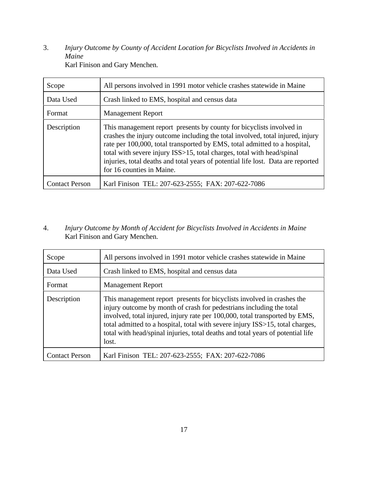3. *Injury Outcome by County of Accident Location for Bicyclists Involved in Accidents in Maine* Karl Finison and Gary Menchen.

| Scope                 | All persons involved in 1991 motor vehicle crashes statewide in Maine                                                                                                                                                                                                                                                                                                                                                          |
|-----------------------|--------------------------------------------------------------------------------------------------------------------------------------------------------------------------------------------------------------------------------------------------------------------------------------------------------------------------------------------------------------------------------------------------------------------------------|
| Data Used             | Crash linked to EMS, hospital and census data                                                                                                                                                                                                                                                                                                                                                                                  |
| Format                | <b>Management Report</b>                                                                                                                                                                                                                                                                                                                                                                                                       |
| Description           | This management report presents by county for bicyclists involved in<br>crashes the injury outcome including the total involved, total injured, injury<br>rate per 100,000, total transported by EMS, total admitted to a hospital,<br>total with severe injury ISS>15, total charges, total with head/spinal<br>injuries, total deaths and total years of potential life lost. Data are reported<br>for 16 counties in Maine. |
| <b>Contact Person</b> | Karl Finison TEL: 207-623-2555; FAX: 207-622-7086                                                                                                                                                                                                                                                                                                                                                                              |

#### 4. *Injury Outcome by Month of Accident for Bicyclists Involved in Accidents in Maine* Karl Finison and Gary Menchen.

| Scope                 | All persons involved in 1991 motor vehicle crashes statewide in Maine                                                                                                                                                                                                                                                                                                                                      |
|-----------------------|------------------------------------------------------------------------------------------------------------------------------------------------------------------------------------------------------------------------------------------------------------------------------------------------------------------------------------------------------------------------------------------------------------|
| Data Used             | Crash linked to EMS, hospital and census data                                                                                                                                                                                                                                                                                                                                                              |
| Format                | <b>Management Report</b>                                                                                                                                                                                                                                                                                                                                                                                   |
| Description           | This management report presents for bicyclists involved in crashes the<br>injury outcome by month of crash for pedestrians including the total<br>involved, total injured, injury rate per 100,000, total transported by EMS,<br>total admitted to a hospital, total with severe injury ISS>15, total charges,<br>total with head/spinal injuries, total deaths and total years of potential life<br>lost. |
| <b>Contact Person</b> | Karl Finison TEL: 207-623-2555; FAX: 207-622-7086                                                                                                                                                                                                                                                                                                                                                          |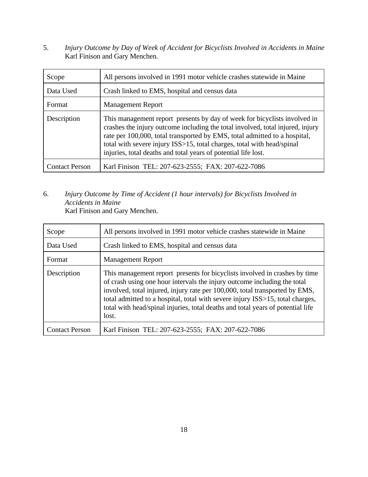5. *Injury Outcome by Day of Week of Accident for Bicyclists Involved in Accidents in Maine* Karl Finison and Gary Menchen.

| Scope                 | All persons involved in 1991 motor vehicle crashes statewide in Maine                                                                                                                                                                                                                                                                                                                |
|-----------------------|--------------------------------------------------------------------------------------------------------------------------------------------------------------------------------------------------------------------------------------------------------------------------------------------------------------------------------------------------------------------------------------|
| Data Used             | Crash linked to EMS, hospital and census data                                                                                                                                                                                                                                                                                                                                        |
| Format                | <b>Management Report</b>                                                                                                                                                                                                                                                                                                                                                             |
| Description           | This management report presents by day of week for bicyclists involved in<br>crashes the injury outcome including the total involved, total injured, injury<br>rate per 100,000, total transported by EMS, total admitted to a hospital,<br>total with severe injury ISS>15, total charges, total with head/spinal<br>injuries, total deaths and total years of potential life lost. |
| <b>Contact Person</b> | Karl Finison TEL: 207-623-2555; FAX: 207-622-7086                                                                                                                                                                                                                                                                                                                                    |

#### 6. *Injury Outcome by Time of Accident (1 hour intervals) for Bicyclists Involved in Accidents in Maine* Karl Finison and Gary Menchen.

| Scope                 | All persons involved in 1991 motor vehicle crashes statewide in Maine                                                                                                                                                                                                                                                                                                                                              |
|-----------------------|--------------------------------------------------------------------------------------------------------------------------------------------------------------------------------------------------------------------------------------------------------------------------------------------------------------------------------------------------------------------------------------------------------------------|
| Data Used             | Crash linked to EMS, hospital and census data                                                                                                                                                                                                                                                                                                                                                                      |
| Format                | <b>Management Report</b>                                                                                                                                                                                                                                                                                                                                                                                           |
| Description           | This management report presents for bicyclists involved in crashes by time<br>of crash using one hour intervals the injury outcome including the total<br>involved, total injured, injury rate per 100,000, total transported by EMS,<br>total admitted to a hospital, total with severe injury ISS>15, total charges,<br>total with head/spinal injuries, total deaths and total years of potential life<br>lost. |
| <b>Contact Person</b> | Karl Finison TEL: 207-623-2555; FAX: 207-622-7086                                                                                                                                                                                                                                                                                                                                                                  |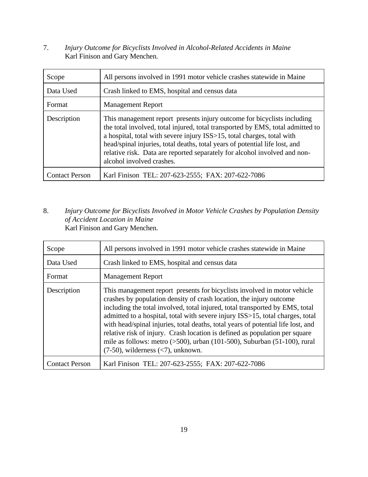7. *Injury Outcome for Bicyclists Involved in Alcohol-Related Accidents in Maine* Karl Finison and Gary Menchen.

| Scope                 | All persons involved in 1991 motor vehicle crashes statewide in Maine                                                                                                                                                                                                                                                                                                                                                        |
|-----------------------|------------------------------------------------------------------------------------------------------------------------------------------------------------------------------------------------------------------------------------------------------------------------------------------------------------------------------------------------------------------------------------------------------------------------------|
| Data Used             | Crash linked to EMS, hospital and census data                                                                                                                                                                                                                                                                                                                                                                                |
| Format                | <b>Management Report</b>                                                                                                                                                                                                                                                                                                                                                                                                     |
| Description           | This management report presents injury outcome for bicyclists including<br>the total involved, total injured, total transported by EMS, total admitted to<br>a hospital, total with severe injury ISS>15, total charges, total with<br>head/spinal injuries, total deaths, total years of potential life lost, and<br>relative risk. Data are reported separately for alcohol involved and non-<br>alcohol involved crashes. |
| <b>Contact Person</b> | Karl Finison TEL: 207-623-2555; FAX: 207-622-7086                                                                                                                                                                                                                                                                                                                                                                            |

8. *Injury Outcome for Bicyclists Involved in Motor Vehicle Crashes by Population Density of Accident Location in Maine* Karl Finison and Gary Menchen.

| Scope                 | All persons involved in 1991 motor vehicle crashes statewide in Maine                                                                                                                                                                                                                                                                                                                                                                                                                                                                                                                                          |
|-----------------------|----------------------------------------------------------------------------------------------------------------------------------------------------------------------------------------------------------------------------------------------------------------------------------------------------------------------------------------------------------------------------------------------------------------------------------------------------------------------------------------------------------------------------------------------------------------------------------------------------------------|
| Data Used             | Crash linked to EMS, hospital and census data                                                                                                                                                                                                                                                                                                                                                                                                                                                                                                                                                                  |
| Format                | <b>Management Report</b>                                                                                                                                                                                                                                                                                                                                                                                                                                                                                                                                                                                       |
| Description           | This management report presents for bicyclists involved in motor vehicle<br>crashes by population density of crash location, the injury outcome<br>including the total involved, total injured, total transported by EMS, total<br>admitted to a hospital, total with severe injury ISS>15, total charges, total<br>with head/spinal injuries, total deaths, total years of potential life lost, and<br>relative risk of injury. Crash location is defined as population per square<br>mile as follows: metro $($ >500), urban (101-500), Suburban (51-100), rural<br>$(7-50)$ , wilderness $(< 7)$ , unknown. |
| <b>Contact Person</b> | Karl Finison TEL: 207-623-2555; FAX: 207-622-7086                                                                                                                                                                                                                                                                                                                                                                                                                                                                                                                                                              |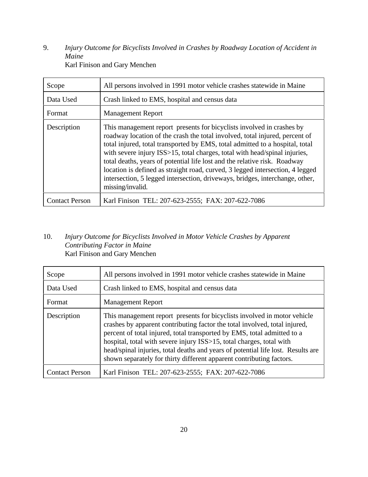9. *Injury Outcome for Bicyclists Involved in Crashes by Roadway Location of Accident in Maine* Karl Finison and Gary Menchen

| Scope                 | All persons involved in 1991 motor vehicle crashes statewide in Maine                                                                                                                                                                                                                                                                                                                                                                                                                                                                                                                |
|-----------------------|--------------------------------------------------------------------------------------------------------------------------------------------------------------------------------------------------------------------------------------------------------------------------------------------------------------------------------------------------------------------------------------------------------------------------------------------------------------------------------------------------------------------------------------------------------------------------------------|
| Data Used             | Crash linked to EMS, hospital and census data                                                                                                                                                                                                                                                                                                                                                                                                                                                                                                                                        |
| Format                | <b>Management Report</b>                                                                                                                                                                                                                                                                                                                                                                                                                                                                                                                                                             |
| Description           | This management report presents for bicyclists involved in crashes by<br>roadway location of the crash the total involved, total injured, percent of<br>total injured, total transported by EMS, total admitted to a hospital, total<br>with severe injury ISS>15, total charges, total with head/spinal injuries,<br>total deaths, years of potential life lost and the relative risk. Roadway<br>location is defined as straight road, curved, 3 legged intersection, 4 legged<br>intersection, 5 legged intersection, driveways, bridges, interchange, other,<br>missing/invalid. |
| <b>Contact Person</b> | Karl Finison TEL: 207-623-2555; FAX: 207-622-7086                                                                                                                                                                                                                                                                                                                                                                                                                                                                                                                                    |

#### 10. *Injury Outcome for Bicyclists Involved in Motor Vehicle Crashes by Apparent Contributing Factor in Maine* Karl Finison and Gary Menchen

| Scope                 | All persons involved in 1991 motor vehicle crashes statewide in Maine                                                                                                                                                                                                                                                                                                                                                                                                 |
|-----------------------|-----------------------------------------------------------------------------------------------------------------------------------------------------------------------------------------------------------------------------------------------------------------------------------------------------------------------------------------------------------------------------------------------------------------------------------------------------------------------|
| Data Used             | Crash linked to EMS, hospital and census data                                                                                                                                                                                                                                                                                                                                                                                                                         |
| Format                | <b>Management Report</b>                                                                                                                                                                                                                                                                                                                                                                                                                                              |
| Description           | This management report presents for bicyclists involved in motor vehicle<br>crashes by apparent contributing factor the total involved, total injured,<br>percent of total injured, total transported by EMS, total admitted to a<br>hospital, total with severe injury ISS>15, total charges, total with<br>head/spinal injuries, total deaths and years of potential life lost. Results are<br>shown separately for thirty different apparent contributing factors. |
| <b>Contact Person</b> | Karl Finison TEL: 207-623-2555; FAX: 207-622-7086                                                                                                                                                                                                                                                                                                                                                                                                                     |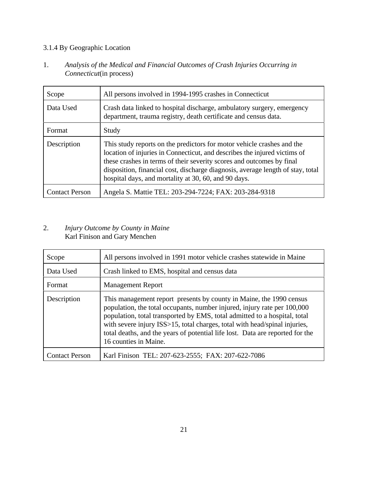## 3.1.4 By Geographic Location

1. *Analysis of the Medical and Financial Outcomes of Crash Injuries Occurring in Connecticut*(in process)

| Scope                 | All persons involved in 1994-1995 crashes in Connecticut                                                                                                                                                                                                                                                                                                                |
|-----------------------|-------------------------------------------------------------------------------------------------------------------------------------------------------------------------------------------------------------------------------------------------------------------------------------------------------------------------------------------------------------------------|
| Data Used             | Crash data linked to hospital discharge, ambulatory surgery, emergency<br>department, trauma registry, death certificate and census data.                                                                                                                                                                                                                               |
| Format                | Study                                                                                                                                                                                                                                                                                                                                                                   |
| Description           | This study reports on the predictors for motor vehicle crashes and the<br>location of injuries in Connecticut, and describes the injured victims of<br>these crashes in terms of their severity scores and outcomes by final<br>disposition, financial cost, discharge diagnosis, average length of stay, total<br>hospital days, and mortality at 30, 60, and 90 days. |
| <b>Contact Person</b> | Angela S. Mattie TEL: 203-294-7224; FAX: 203-284-9318                                                                                                                                                                                                                                                                                                                   |

#### 2. *Injury Outcome by County in Maine* Karl Finison and Gary Menchen

| Scope                 | All persons involved in 1991 motor vehicle crashes statewide in Maine                                                                                                                                                                                                                                                                                                                                                |
|-----------------------|----------------------------------------------------------------------------------------------------------------------------------------------------------------------------------------------------------------------------------------------------------------------------------------------------------------------------------------------------------------------------------------------------------------------|
| Data Used             | Crash linked to EMS, hospital and census data                                                                                                                                                                                                                                                                                                                                                                        |
| Format                | <b>Management Report</b>                                                                                                                                                                                                                                                                                                                                                                                             |
| Description           | This management report presents by county in Maine, the 1990 census<br>population, the total occupants, number injured, injury rate per 100,000<br>population, total transported by EMS, total admitted to a hospital, total<br>with severe injury ISS>15, total charges, total with head/spinal injuries,<br>total deaths, and the years of potential life lost. Data are reported for the<br>16 counties in Maine. |
| <b>Contact Person</b> | Karl Finison TEL: 207-623-2555; FAX: 207-622-7086                                                                                                                                                                                                                                                                                                                                                                    |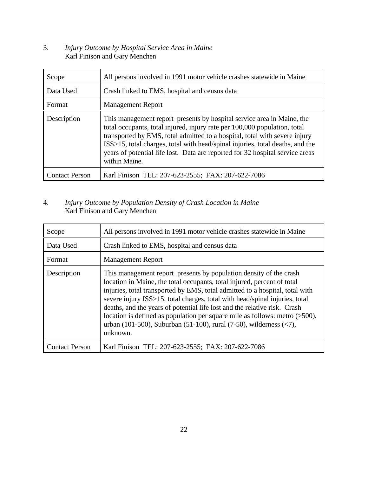#### 3. *Injury Outcome by Hospital Service Area in Maine* Karl Finison and Gary Menchen

| Scope                 | All persons involved in 1991 motor vehicle crashes statewide in Maine                                                                                                                                                                                                                                                                                                                                                |
|-----------------------|----------------------------------------------------------------------------------------------------------------------------------------------------------------------------------------------------------------------------------------------------------------------------------------------------------------------------------------------------------------------------------------------------------------------|
| Data Used             | Crash linked to EMS, hospital and census data                                                                                                                                                                                                                                                                                                                                                                        |
| Format                | <b>Management Report</b>                                                                                                                                                                                                                                                                                                                                                                                             |
| Description           | This management report presents by hospital service area in Maine, the<br>total occupants, total injured, injury rate per 100,000 population, total<br>transported by EMS, total admitted to a hospital, total with severe injury<br>ISS>15, total charges, total with head/spinal injuries, total deaths, and the<br>years of potential life lost. Data are reported for 32 hospital service areas<br>within Maine. |
| <b>Contact Person</b> | Karl Finison TEL: 207-623-2555; FAX: 207-622-7086                                                                                                                                                                                                                                                                                                                                                                    |

#### 4. *Injury Outcome by Population Density of Crash Location in Maine* Karl Finison and Gary Menchen

| Scope                 | All persons involved in 1991 motor vehicle crashes statewide in Maine                                                                                                                                                                                                                                                                                                                                                                                                                                                                                                    |
|-----------------------|--------------------------------------------------------------------------------------------------------------------------------------------------------------------------------------------------------------------------------------------------------------------------------------------------------------------------------------------------------------------------------------------------------------------------------------------------------------------------------------------------------------------------------------------------------------------------|
| Data Used             | Crash linked to EMS, hospital and census data                                                                                                                                                                                                                                                                                                                                                                                                                                                                                                                            |
| Format                | <b>Management Report</b>                                                                                                                                                                                                                                                                                                                                                                                                                                                                                                                                                 |
| Description           | This management report presents by population density of the crash<br>location in Maine, the total occupants, total injured, percent of total<br>injuries, total transported by EMS, total admitted to a hospital, total with<br>severe injury ISS>15, total charges, total with head/spinal injuries, total<br>deaths, and the years of potential life lost and the relative risk. Crash<br>location is defined as population per square mile as follows: metro $($ >500 $)$ ,<br>urban (101-500), Suburban (51-100), rural (7-50), wilderness $(\leq 7)$ ,<br>unknown. |
| <b>Contact Person</b> | Karl Finison TEL: 207-623-2555; FAX: 207-622-7086                                                                                                                                                                                                                                                                                                                                                                                                                                                                                                                        |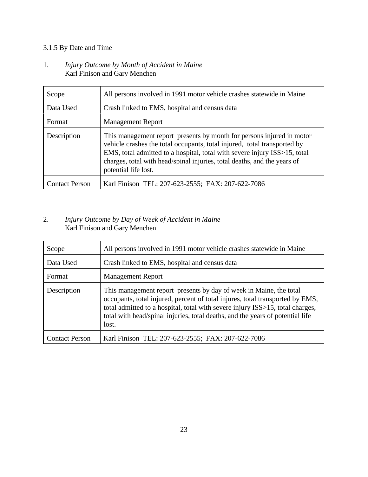## 3.1.5 By Date and Time

#### 1. *Injury Outcome by Month of Accident in Maine* Karl Finison and Gary Menchen

| Scope                 | All persons involved in 1991 motor vehicle crashes statewide in Maine                                                                                                                                                                                                                                                              |
|-----------------------|------------------------------------------------------------------------------------------------------------------------------------------------------------------------------------------------------------------------------------------------------------------------------------------------------------------------------------|
| Data Used             | Crash linked to EMS, hospital and census data                                                                                                                                                                                                                                                                                      |
| Format                | <b>Management Report</b>                                                                                                                                                                                                                                                                                                           |
| Description           | This management report presents by month for persons injured in motor<br>vehicle crashes the total occupants, total injured, total transported by<br>EMS, total admitted to a hospital, total with severe injury ISS>15, total<br>charges, total with head/spinal injuries, total deaths, and the years of<br>potential life lost. |
| <b>Contact Person</b> | Karl Finison TEL: 207-623-2555; FAX: 207-622-7086                                                                                                                                                                                                                                                                                  |

#### 2. *Injury Outcome by Day of Week of Accident in Maine* Karl Finison and Gary Menchen

| Scope                 | All persons involved in 1991 motor vehicle crashes statewide in Maine                                                                                                                                                                                                                                                           |
|-----------------------|---------------------------------------------------------------------------------------------------------------------------------------------------------------------------------------------------------------------------------------------------------------------------------------------------------------------------------|
| Data Used             | Crash linked to EMS, hospital and census data                                                                                                                                                                                                                                                                                   |
| Format                | <b>Management Report</b>                                                                                                                                                                                                                                                                                                        |
| Description           | This management report presents by day of week in Maine, the total<br>occupants, total injured, percent of total injures, total transported by EMS,<br>total admitted to a hospital, total with severe injury ISS>15, total charges,<br>total with head/spinal injuries, total deaths, and the years of potential life<br>lost. |
| <b>Contact Person</b> | Karl Finison TEL: 207-623-2555; FAX: 207-622-7086                                                                                                                                                                                                                                                                               |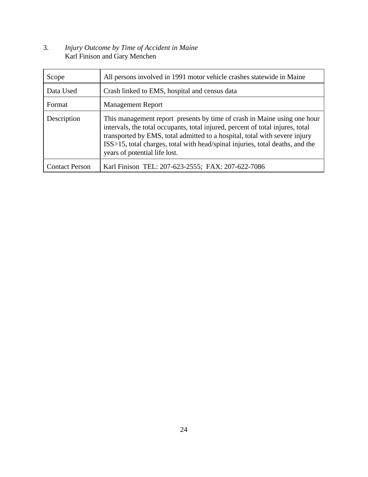#### 3. *Injury Outcome by Time of Accident in Maine* Karl Finison and Gary Menchen

| Scope                 | All persons involved in 1991 motor vehicle crashes statewide in Maine                                                                                                                                                                                                                                                                                      |
|-----------------------|------------------------------------------------------------------------------------------------------------------------------------------------------------------------------------------------------------------------------------------------------------------------------------------------------------------------------------------------------------|
| Data Used             | Crash linked to EMS, hospital and census data                                                                                                                                                                                                                                                                                                              |
| Format                | <b>Management Report</b>                                                                                                                                                                                                                                                                                                                                   |
| Description           | This management report presents by time of crash in Maine using one hour<br>intervals, the total occupants, total injured, percent of total injures, total<br>transported by EMS, total admitted to a hospital, total with severe injury<br>ISS>15, total charges, total with head/spinal injuries, total deaths, and the<br>years of potential life lost. |
| <b>Contact Person</b> | Karl Finison TEL: 207-623-2555; FAX: 207-622-7086                                                                                                                                                                                                                                                                                                          |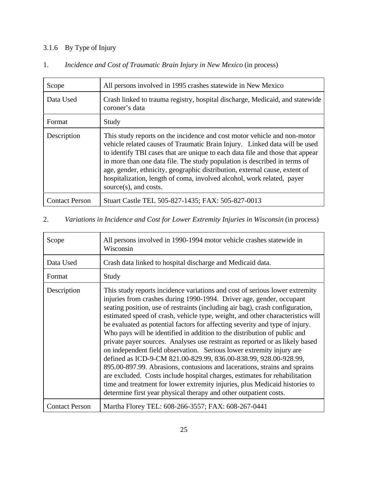## 3.1.6 By Type of Injury

| Scope                 | All persons involved in 1995 crashes statewide in New Mexico                                                                                                                                                                                                                                                                                                                                                                                                                                          |
|-----------------------|-------------------------------------------------------------------------------------------------------------------------------------------------------------------------------------------------------------------------------------------------------------------------------------------------------------------------------------------------------------------------------------------------------------------------------------------------------------------------------------------------------|
| Data Used             | Crash linked to trauma registry, hospital discharge, Medicaid, and statewide<br>coroner's data                                                                                                                                                                                                                                                                                                                                                                                                        |
| Format                | Study                                                                                                                                                                                                                                                                                                                                                                                                                                                                                                 |
| Description           | This study reports on the incidence and cost motor vehicle and non-motor<br>vehicle related causes of Traumatic Brain Injury. Linked data will be used<br>to identify TBI cases that are unique to each data file and those that appear<br>in more than one data file. The study population is described in terms of<br>age, gender, ethnicity, geographic distribution, external cause, extent of<br>hospitalization, length of coma, involved alcohol, work related, payer<br>source(s), and costs. |
| <b>Contact Person</b> | Stuart Castle TEL 505-827-1435; FAX: 505-827-0013                                                                                                                                                                                                                                                                                                                                                                                                                                                     |

## 1. *Incidence and Cost of Traumatic Brain Injury in New Mexico* (in process)

#### 2. *Variations in Incidence and Cost for Lower Extremity Injuries in Wisconsin* (in process)

| Scope                 | All persons involved in 1990-1994 motor vehicle crashes statewide in<br>Wisconsin                                                                                                                                                                                                                                                                                                                                                                                                                                                                                                                                                                                                                                                                                                                                                                                                                                                                                                                                              |
|-----------------------|--------------------------------------------------------------------------------------------------------------------------------------------------------------------------------------------------------------------------------------------------------------------------------------------------------------------------------------------------------------------------------------------------------------------------------------------------------------------------------------------------------------------------------------------------------------------------------------------------------------------------------------------------------------------------------------------------------------------------------------------------------------------------------------------------------------------------------------------------------------------------------------------------------------------------------------------------------------------------------------------------------------------------------|
| Data Used             | Crash data linked to hospital discharge and Medicaid data.                                                                                                                                                                                                                                                                                                                                                                                                                                                                                                                                                                                                                                                                                                                                                                                                                                                                                                                                                                     |
| Format                | Study                                                                                                                                                                                                                                                                                                                                                                                                                                                                                                                                                                                                                                                                                                                                                                                                                                                                                                                                                                                                                          |
| Description           | This study reports incidence variations and cost of serious lower extremity<br>injuries from crashes during 1990-1994. Driver age, gender, occupant<br>seating position, use of restraints (including air bag), crash configuration,<br>estimated speed of crash, vehicle type, weight, and other characteristics will<br>be evaluated as potential factors for affecting severity and type of injury.<br>Who pays will be identified in addition to the distribution of public and<br>private payer sources. Analyses use restraint as reported or as likely based<br>on independent field observation. Serious lower extremity injury are<br>defined as ICD-9-CM 821.00-829.99, 836.00-838.99, 928.00-928.99,<br>895.00-897.99. Abrasions, contusions and lacerations, strains and sprains<br>are excluded. Costs include hospital charges, estimates for rehabilitation<br>time and treatment for lower extremity injuries, plus Medicaid histories to<br>determine first year physical therapy and other outpatient costs. |
| <b>Contact Person</b> | Martha Florey TEL: 608-266-3557; FAX: 608-267-0441                                                                                                                                                                                                                                                                                                                                                                                                                                                                                                                                                                                                                                                                                                                                                                                                                                                                                                                                                                             |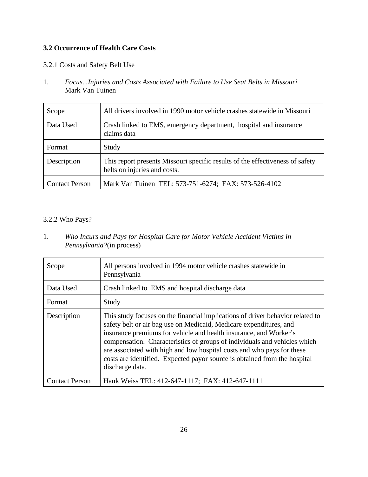#### **3.2 Occurrence of Health Care Costs**

#### 3.2.1 Costs and Safety Belt Use

1. *Focus...Injuries and Costs Associated with Failure to Use Seat Belts in Missouri* Mark Van Tuinen

| Scope                 | All drivers involved in 1990 motor vehicle crashes statewide in Missouri                                      |
|-----------------------|---------------------------------------------------------------------------------------------------------------|
| Data Used             | Crash linked to EMS, emergency department, hospital and insurance<br>claims data                              |
| Format                | Study                                                                                                         |
| Description           | This report presents Missouri specific results of the effectiveness of safety<br>belts on injuries and costs. |
| <b>Contact Person</b> | Mark Van Tuinen TEL: 573-751-6274; FAX: 573-526-4102                                                          |

#### 3.2.2 Who Pays?

1. *Who Incurs and Pays for Hospital Care for Motor Vehicle Accident Victims in Pennsylvania?*(in process)

| Scope                 | All persons involved in 1994 motor vehicle crashes statewide in<br>Pennsylvania                                                                                                                                                                                                                                                                                                                                                                                                  |
|-----------------------|----------------------------------------------------------------------------------------------------------------------------------------------------------------------------------------------------------------------------------------------------------------------------------------------------------------------------------------------------------------------------------------------------------------------------------------------------------------------------------|
| Data Used             | Crash linked to EMS and hospital discharge data                                                                                                                                                                                                                                                                                                                                                                                                                                  |
| Format                | Study                                                                                                                                                                                                                                                                                                                                                                                                                                                                            |
| Description           | This study focuses on the financial implications of driver behavior related to<br>safety belt or air bag use on Medicaid, Medicare expenditures, and<br>insurance premiums for vehicle and health insurance, and Worker's<br>compensation. Characteristics of groups of individuals and vehicles which<br>are associated with high and low hospital costs and who pays for these<br>costs are identified. Expected payor source is obtained from the hospital<br>discharge data. |
| <b>Contact Person</b> | Hank Weiss TEL: 412-647-1117; FAX: 412-647-1111                                                                                                                                                                                                                                                                                                                                                                                                                                  |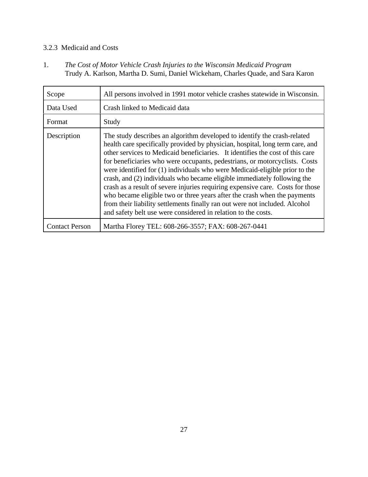#### 3.2.3 Medicaid and Costs

1. *The Cost of Motor Vehicle Crash Injuries to the Wisconsin Medicaid Program* Trudy A. Karlson, Martha D. Sumi, Daniel Wickeham, Charles Quade, and Sara Karon

| Scope                 | All persons involved in 1991 motor vehicle crashes statewide in Wisconsin.                                                                                                                                                                                                                                                                                                                                                                                                                                                                                                                                                                                                                                                                                                                        |
|-----------------------|---------------------------------------------------------------------------------------------------------------------------------------------------------------------------------------------------------------------------------------------------------------------------------------------------------------------------------------------------------------------------------------------------------------------------------------------------------------------------------------------------------------------------------------------------------------------------------------------------------------------------------------------------------------------------------------------------------------------------------------------------------------------------------------------------|
| Data Used             | Crash linked to Medicaid data                                                                                                                                                                                                                                                                                                                                                                                                                                                                                                                                                                                                                                                                                                                                                                     |
| Format                | Study                                                                                                                                                                                                                                                                                                                                                                                                                                                                                                                                                                                                                                                                                                                                                                                             |
| Description           | The study describes an algorithm developed to identify the crash-related<br>health care specifically provided by physician, hospital, long term care, and<br>other services to Medicaid beneficiaries. It identifies the cost of this care<br>for beneficiaries who were occupants, pedestrians, or motorcyclists. Costs<br>were identified for (1) individuals who were Medicaid-eligible prior to the<br>crash, and (2) individuals who became eligible immediately following the<br>crash as a result of severe injuries requiring expensive care. Costs for those<br>who became eligible two or three years after the crash when the payments<br>from their liability settlements finally ran out were not included. Alcohol<br>and safety belt use were considered in relation to the costs. |
| <b>Contact Person</b> | Martha Florey TEL: 608-266-3557; FAX: 608-267-0441                                                                                                                                                                                                                                                                                                                                                                                                                                                                                                                                                                                                                                                                                                                                                |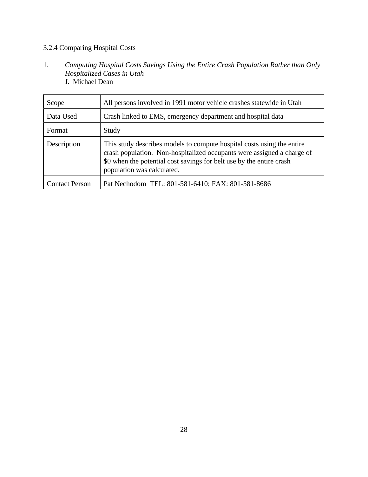#### 3.2.4 Comparing Hospital Costs

- 1. *Computing Hospital Costs Savings Using the Entire Crash Population Rather than Only Hospitalized Cases in Utah* J. Michael Dean
- Scope All persons involved in 1991 motor vehicle crashes statewide in Utah Data Used **Crash linked to EMS**, emergency department and hospital data Format Study Description This study describes models to compute hospital costs using the entire crash population. Non-hospitalized occupants were assigned a charge of \$0 when the potential cost savings for belt use by the entire crash population was calculated. Contact Person | Pat Nechodom TEL: 801-581-6410; FAX: 801-581-8686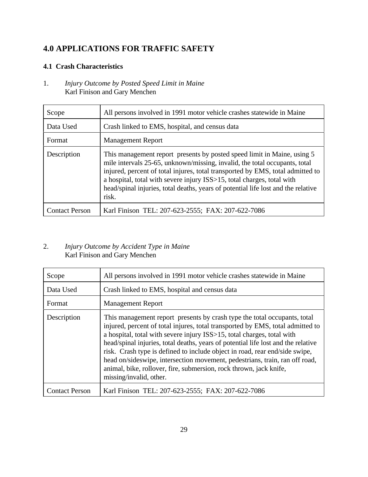## **4.0 APPLICATIONS FOR TRAFFIC SAFETY**

#### **4.1 Crash Characteristics**

1. *Injury Outcome by Posted Speed Limit in Maine* Karl Finison and Gary Menchen

| Scope                 | All persons involved in 1991 motor vehicle crashes statewide in Maine                                                                                                                                                                                                                                                                                                                                           |
|-----------------------|-----------------------------------------------------------------------------------------------------------------------------------------------------------------------------------------------------------------------------------------------------------------------------------------------------------------------------------------------------------------------------------------------------------------|
| Data Used             | Crash linked to EMS, hospital, and census data                                                                                                                                                                                                                                                                                                                                                                  |
| Format                | <b>Management Report</b>                                                                                                                                                                                                                                                                                                                                                                                        |
| Description           | This management report presents by posted speed limit in Maine, using 5<br>mile intervals 25-65, unknown/missing, invalid, the total occupants, total<br>injured, percent of total injures, total transported by EMS, total admitted to<br>a hospital, total with severe injury ISS>15, total charges, total with<br>head/spinal injuries, total deaths, years of potential life lost and the relative<br>risk. |
| <b>Contact Person</b> | Karl Finison TEL: 207-623-2555; FAX: 207-622-7086                                                                                                                                                                                                                                                                                                                                                               |

#### 2. *Injury Outcome by Accident Type in Maine* Karl Finison and Gary Menchen

| Scope                 | All persons involved in 1991 motor vehicle crashes statewide in Maine                                                                                                                                                                                                                                                                                                                                                                                                                                                                                                                    |
|-----------------------|------------------------------------------------------------------------------------------------------------------------------------------------------------------------------------------------------------------------------------------------------------------------------------------------------------------------------------------------------------------------------------------------------------------------------------------------------------------------------------------------------------------------------------------------------------------------------------------|
| Data Used             | Crash linked to EMS, hospital and census data                                                                                                                                                                                                                                                                                                                                                                                                                                                                                                                                            |
| Format                | <b>Management Report</b>                                                                                                                                                                                                                                                                                                                                                                                                                                                                                                                                                                 |
| Description           | This management report presents by crash type the total occupants, total<br>injured, percent of total injures, total transported by EMS, total admitted to<br>a hospital, total with severe injury ISS>15, total charges, total with<br>head/spinal injuries, total deaths, years of potential life lost and the relative<br>risk. Crash type is defined to include object in road, rear end/side swipe,<br>head on/sideswipe, intersection movement, pedestrians, train, ran off road,<br>animal, bike, rollover, fire, submersion, rock thrown, jack knife,<br>missing/invalid, other. |
| <b>Contact Person</b> | Karl Finison TEL: 207-623-2555; FAX: 207-622-7086                                                                                                                                                                                                                                                                                                                                                                                                                                                                                                                                        |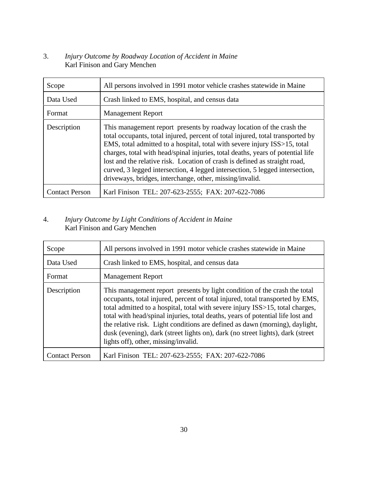#### 3. *Injury Outcome by Roadway Location of Accident in Maine* Karl Finison and Gary Menchen

| Scope                 | All persons involved in 1991 motor vehicle crashes statewide in Maine                                                                                                                                                                                                                                                                                                                                                                                                                                                                            |
|-----------------------|--------------------------------------------------------------------------------------------------------------------------------------------------------------------------------------------------------------------------------------------------------------------------------------------------------------------------------------------------------------------------------------------------------------------------------------------------------------------------------------------------------------------------------------------------|
| Data Used             | Crash linked to EMS, hospital, and census data                                                                                                                                                                                                                                                                                                                                                                                                                                                                                                   |
| Format                | <b>Management Report</b>                                                                                                                                                                                                                                                                                                                                                                                                                                                                                                                         |
| Description           | This management report presents by roadway location of the crash the<br>total occupants, total injured, percent of total injured, total transported by<br>EMS, total admitted to a hospital, total with severe injury ISS>15, total<br>charges, total with head/spinal injuries, total deaths, years of potential life<br>lost and the relative risk. Location of crash is defined as straight road,<br>curved, 3 legged intersection, 4 legged intersection, 5 legged intersection,<br>driveways, bridges, interchange, other, missing/invalid. |
| <b>Contact Person</b> | Karl Finison TEL: 207-623-2555; FAX: 207-622-7086                                                                                                                                                                                                                                                                                                                                                                                                                                                                                                |

#### 4. *Injury Outcome by Light Conditions of Accident in Maine* Karl Finison and Gary Menchen

| Scope                 | All persons involved in 1991 motor vehicle crashes statewide in Maine                                                                                                                                                                                                                                                                                                                                                                                                                                                                    |
|-----------------------|------------------------------------------------------------------------------------------------------------------------------------------------------------------------------------------------------------------------------------------------------------------------------------------------------------------------------------------------------------------------------------------------------------------------------------------------------------------------------------------------------------------------------------------|
| Data Used             | Crash linked to EMS, hospital, and census data                                                                                                                                                                                                                                                                                                                                                                                                                                                                                           |
| Format                | <b>Management Report</b>                                                                                                                                                                                                                                                                                                                                                                                                                                                                                                                 |
| Description           | This management report presents by light condition of the crash the total<br>occupants, total injured, percent of total injured, total transported by EMS,<br>total admitted to a hospital, total with severe injury ISS>15, total charges,<br>total with head/spinal injuries, total deaths, years of potential life lost and<br>the relative risk. Light conditions are defined as dawn (morning), daylight,<br>dusk (evening), dark (street lights on), dark (no street lights), dark (street<br>lights off), other, missing/invalid. |
| <b>Contact Person</b> | Karl Finison TEL: 207-623-2555; FAX: 207-622-7086                                                                                                                                                                                                                                                                                                                                                                                                                                                                                        |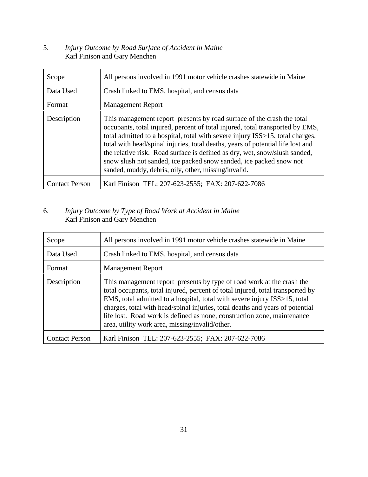#### 5. *Injury Outcome by Road Surface of Accident in Maine* Karl Finison and Gary Menchen

| Scope                 | All persons involved in 1991 motor vehicle crashes statewide in Maine                                                                                                                                                                                                                                                                                                                                                                                                                                                                   |
|-----------------------|-----------------------------------------------------------------------------------------------------------------------------------------------------------------------------------------------------------------------------------------------------------------------------------------------------------------------------------------------------------------------------------------------------------------------------------------------------------------------------------------------------------------------------------------|
| Data Used             | Crash linked to EMS, hospital, and census data                                                                                                                                                                                                                                                                                                                                                                                                                                                                                          |
| Format                | <b>Management Report</b>                                                                                                                                                                                                                                                                                                                                                                                                                                                                                                                |
| Description           | This management report presents by road surface of the crash the total<br>occupants, total injured, percent of total injured, total transported by EMS,<br>total admitted to a hospital, total with severe injury ISS>15, total charges,<br>total with head/spinal injuries, total deaths, years of potential life lost and<br>the relative risk. Road surface is defined as dry, wet, snow/slush sanded,<br>snow slush not sanded, ice packed snow sanded, ice packed snow not<br>sanded, muddy, debris, oily, other, missing/invalid. |
| <b>Contact Person</b> | Karl Finison TEL: 207-623-2555; FAX: 207-622-7086                                                                                                                                                                                                                                                                                                                                                                                                                                                                                       |

#### 6. *Injury Outcome by Type of Road Work at Accident in Maine* Karl Finison and Gary Menchen

| Scope                 | All persons involved in 1991 motor vehicle crashes statewide in Maine                                                                                                                                                                                                                                                                                                                                                                               |
|-----------------------|-----------------------------------------------------------------------------------------------------------------------------------------------------------------------------------------------------------------------------------------------------------------------------------------------------------------------------------------------------------------------------------------------------------------------------------------------------|
| Data Used             | Crash linked to EMS, hospital, and census data                                                                                                                                                                                                                                                                                                                                                                                                      |
| Format                | <b>Management Report</b>                                                                                                                                                                                                                                                                                                                                                                                                                            |
| Description           | This management report presents by type of road work at the crash the<br>total occupants, total injured, percent of total injured, total transported by<br>EMS, total admitted to a hospital, total with severe injury ISS>15, total<br>charges, total with head/spinal injuries, total deaths and years of potential<br>life lost. Road work is defined as none, construction zone, maintenance<br>area, utility work area, missing/invalid/other. |
| <b>Contact Person</b> | Karl Finison TEL: 207-623-2555; FAX: 207-622-7086                                                                                                                                                                                                                                                                                                                                                                                                   |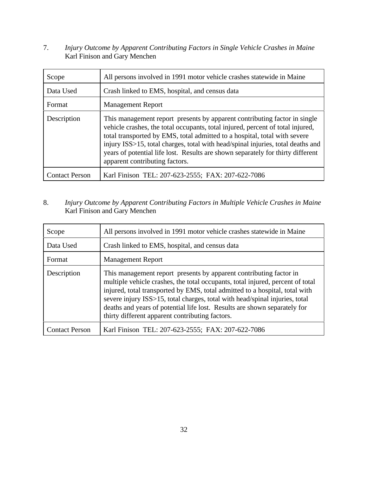7. *Injury Outcome by Apparent Contributing Factors in Single Vehicle Crashes in Maine* Karl Finison and Gary Menchen

| Scope                 | All persons involved in 1991 motor vehicle crashes statewide in Maine                                                                                                                                                                                                                                                                                                                                                                            |
|-----------------------|--------------------------------------------------------------------------------------------------------------------------------------------------------------------------------------------------------------------------------------------------------------------------------------------------------------------------------------------------------------------------------------------------------------------------------------------------|
| Data Used             | Crash linked to EMS, hospital, and census data                                                                                                                                                                                                                                                                                                                                                                                                   |
| Format                | <b>Management Report</b>                                                                                                                                                                                                                                                                                                                                                                                                                         |
| Description           | This management report presents by apparent contributing factor in single<br>vehicle crashes, the total occupants, total injured, percent of total injured,<br>total transported by EMS, total admitted to a hospital, total with severe<br>injury ISS>15, total charges, total with head/spinal injuries, total deaths and<br>years of potential life lost. Results are shown separately for thirty different<br>apparent contributing factors. |
| <b>Contact Person</b> | Karl Finison TEL: 207-623-2555; FAX: 207-622-7086                                                                                                                                                                                                                                                                                                                                                                                                |

8. *Injury Outcome by Apparent Contributing Factors in Multiple Vehicle Crashes in Maine* Karl Finison and Gary Menchen

| Scope                 | All persons involved in 1991 motor vehicle crashes statewide in Maine                                                                                                                                                                                                                                                                                                                                                                              |
|-----------------------|----------------------------------------------------------------------------------------------------------------------------------------------------------------------------------------------------------------------------------------------------------------------------------------------------------------------------------------------------------------------------------------------------------------------------------------------------|
| Data Used             | Crash linked to EMS, hospital, and census data                                                                                                                                                                                                                                                                                                                                                                                                     |
| Format                | <b>Management Report</b>                                                                                                                                                                                                                                                                                                                                                                                                                           |
| Description           | This management report presents by apparent contributing factor in<br>multiple vehicle crashes, the total occupants, total injured, percent of total<br>injured, total transported by EMS, total admitted to a hospital, total with<br>severe injury ISS>15, total charges, total with head/spinal injuries, total<br>deaths and years of potential life lost. Results are shown separately for<br>thirty different apparent contributing factors. |
| <b>Contact Person</b> | Karl Finison TEL: 207-623-2555; FAX: 207-622-7086                                                                                                                                                                                                                                                                                                                                                                                                  |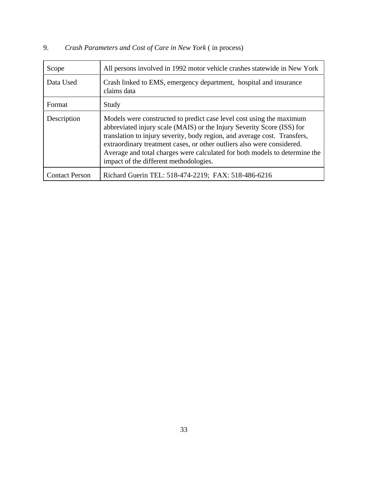## 9. *Crash Parameters and Cost of Care in New York* ( in process)

| Scope                 | All persons involved in 1992 motor vehicle crashes statewide in New York                                                                                                                                                                                                                                                                                                                                                      |
|-----------------------|-------------------------------------------------------------------------------------------------------------------------------------------------------------------------------------------------------------------------------------------------------------------------------------------------------------------------------------------------------------------------------------------------------------------------------|
| Data Used             | Crash linked to EMS, emergency department, hospital and insurance<br>claims data                                                                                                                                                                                                                                                                                                                                              |
| Format                | Study                                                                                                                                                                                                                                                                                                                                                                                                                         |
| Description           | Models were constructed to predict case level cost using the maximum<br>abbreviated injury scale (MAIS) or the Injury Severity Score (ISS) for<br>translation to injury severity, body region, and average cost. Transfers,<br>extraordinary treatment cases, or other outliers also were considered.<br>Average and total charges were calculated for both models to determine the<br>impact of the different methodologies. |
| <b>Contact Person</b> | Richard Guerin TEL: 518-474-2219; FAX: 518-486-6216                                                                                                                                                                                                                                                                                                                                                                           |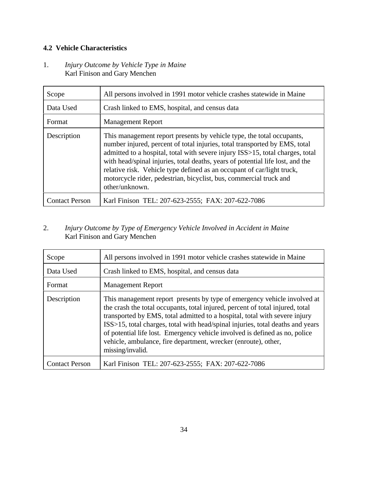#### **4.2 Vehicle Characteristics**

#### 1. *Injury Outcome by Vehicle Type in Maine* Karl Finison and Gary Menchen

| Scope                 | All persons involved in 1991 motor vehicle crashes statewide in Maine                                                                                                                                                                                                                                                                                                                                                                                                                    |
|-----------------------|------------------------------------------------------------------------------------------------------------------------------------------------------------------------------------------------------------------------------------------------------------------------------------------------------------------------------------------------------------------------------------------------------------------------------------------------------------------------------------------|
| Data Used             | Crash linked to EMS, hospital, and census data                                                                                                                                                                                                                                                                                                                                                                                                                                           |
| Format                | <b>Management Report</b>                                                                                                                                                                                                                                                                                                                                                                                                                                                                 |
| Description           | This management report presents by vehicle type, the total occupants,<br>number injured, percent of total injuries, total transported by EMS, total<br>admitted to a hospital, total with severe injury ISS>15, total charges, total<br>with head/spinal injuries, total deaths, years of potential life lost, and the<br>relative risk. Vehicle type defined as an occupant of car/light truck,<br>motorcycle rider, pedestrian, bicyclist, bus, commercial truck and<br>other/unknown. |
| <b>Contact Person</b> | Karl Finison TEL: 207-623-2555; FAX: 207-622-7086                                                                                                                                                                                                                                                                                                                                                                                                                                        |

#### 2. *Injury Outcome by Type of Emergency Vehicle Involved in Accident in Maine* Karl Finison and Gary Menchen

| Scope                 | All persons involved in 1991 motor vehicle crashes statewide in Maine                                                                                                                                                                                                                                                                                                                                                                                                                          |
|-----------------------|------------------------------------------------------------------------------------------------------------------------------------------------------------------------------------------------------------------------------------------------------------------------------------------------------------------------------------------------------------------------------------------------------------------------------------------------------------------------------------------------|
| Data Used             | Crash linked to EMS, hospital, and census data                                                                                                                                                                                                                                                                                                                                                                                                                                                 |
| Format                | <b>Management Report</b>                                                                                                                                                                                                                                                                                                                                                                                                                                                                       |
| Description           | This management report presents by type of emergency vehicle involved at<br>the crash the total occupants, total injured, percent of total injured, total<br>transported by EMS, total admitted to a hospital, total with severe injury<br>ISS>15, total charges, total with head/spinal injuries, total deaths and years<br>of potential life lost. Emergency vehicle involved is defined as no, police<br>vehicle, ambulance, fire department, wrecker (enroute), other,<br>missing/invalid. |
| <b>Contact Person</b> | Karl Finison TEL: 207-623-2555; FAX: 207-622-7086                                                                                                                                                                                                                                                                                                                                                                                                                                              |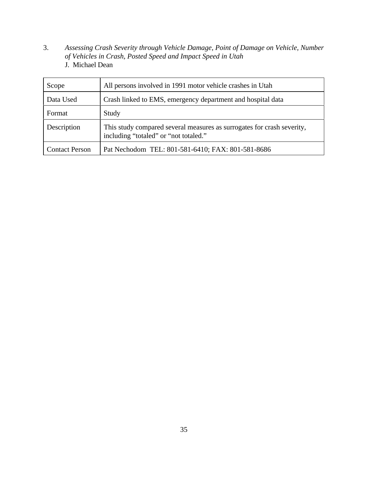3. *Assessing Crash Severity through Vehicle Damage, Point of Damage on Vehicle, Number of Vehicles in Crash, Posted Speed and Impact Speed in Utah* J. Michael Dean

| Scope                 | All persons involved in 1991 motor vehicle crashes in Utah                                                      |
|-----------------------|-----------------------------------------------------------------------------------------------------------------|
| Data Used             | Crash linked to EMS, emergency department and hospital data                                                     |
| Format                | Study                                                                                                           |
| Description           | This study compared several measures as surrogates for crash severity,<br>including "totaled" or "not totaled." |
| <b>Contact Person</b> | Pat Nechodom TEL: 801-581-6410; FAX: 801-581-8686                                                               |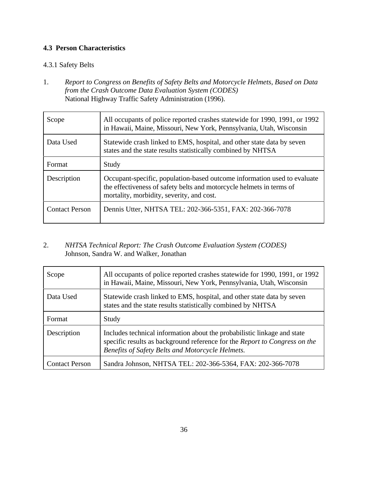#### **4.3 Person Characteristics**

#### 4.3.1 Safety Belts

1. *Report to Congress on Benefits of Safety Belts and Motorcycle Helmets, Based on Data from the Crash Outcome Data Evaluation System (CODES)* National Highway Traffic Safety Administration (1996).

| Scope                 | All occupants of police reported crashes statewide for 1990, 1991, or 1992<br>in Hawaii, Maine, Missouri, New York, Pennsylvania, Utah, Wisconsin                                             |
|-----------------------|-----------------------------------------------------------------------------------------------------------------------------------------------------------------------------------------------|
| Data Used             | Statewide crash linked to EMS, hospital, and other state data by seven<br>states and the state results statistically combined by NHTSA                                                        |
| Format                | Study                                                                                                                                                                                         |
| Description           | Occupant-specific, population-based outcome information used to evaluate<br>the effectiveness of safety belts and motorcycle helmets in terms of<br>mortality, morbidity, severity, and cost. |
| <b>Contact Person</b> | Dennis Utter, NHTSA TEL: 202-366-5351, FAX: 202-366-7078                                                                                                                                      |

2. *NHTSA Technical Report: The Crash Outcome Evaluation System (CODES)* Johnson, Sandra W. and Walker, Jonathan

| Scope                 | All occupants of police reported crashes statewide for 1990, 1991, or 1992<br>in Hawaii, Maine, Missouri, New York, Pennsylvania, Utah, Wisconsin                                                          |
|-----------------------|------------------------------------------------------------------------------------------------------------------------------------------------------------------------------------------------------------|
| Data Used             | Statewide crash linked to EMS, hospital, and other state data by seven<br>states and the state results statistically combined by NHTSA                                                                     |
| Format                | Study                                                                                                                                                                                                      |
| Description           | Includes technical information about the probabilistic linkage and state<br>specific results as background reference for the Report to Congress on the<br>Benefits of Safety Belts and Motorcycle Helmets. |
| <b>Contact Person</b> | Sandra Johnson, NHTSA TEL: 202-366-5364, FAX: 202-366-7078                                                                                                                                                 |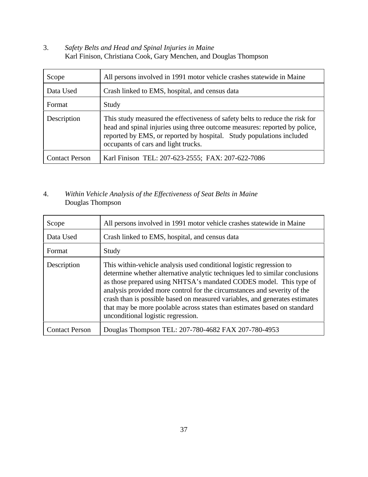3. *Safety Belts and Head and Spinal Injuries in Maine* Karl Finison, Christiana Cook, Gary Menchen, and Douglas Thompson

| Scope                 | All persons involved in 1991 motor vehicle crashes statewide in Maine                                                                                                                                                                                                     |
|-----------------------|---------------------------------------------------------------------------------------------------------------------------------------------------------------------------------------------------------------------------------------------------------------------------|
| Data Used             | Crash linked to EMS, hospital, and census data                                                                                                                                                                                                                            |
| Format                | Study                                                                                                                                                                                                                                                                     |
| Description           | This study measured the effectiveness of safety belts to reduce the risk for<br>head and spinal injuries using three outcome measures: reported by police,<br>reported by EMS, or reported by hospital. Study populations included<br>occupants of cars and light trucks. |
| <b>Contact Person</b> | Karl Finison TEL: 207-623-2555; FAX: 207-622-7086                                                                                                                                                                                                                         |

#### 4. *Within Vehicle Analysis of the Effectiveness of Seat Belts in Maine* Douglas Thompson

| Scope                 | All persons involved in 1991 motor vehicle crashes statewide in Maine                                                                                                                                                                                                                                                                                                                                                                                                                                   |
|-----------------------|---------------------------------------------------------------------------------------------------------------------------------------------------------------------------------------------------------------------------------------------------------------------------------------------------------------------------------------------------------------------------------------------------------------------------------------------------------------------------------------------------------|
| Data Used             | Crash linked to EMS, hospital, and census data                                                                                                                                                                                                                                                                                                                                                                                                                                                          |
| Format                | Study                                                                                                                                                                                                                                                                                                                                                                                                                                                                                                   |
| Description           | This within-vehicle analysis used conditional logistic regression to<br>determine whether alternative analytic techniques led to similar conclusions<br>as those prepared using NHTSA's mandated CODES model. This type of<br>analysis provided more control for the circumstances and severity of the<br>crash than is possible based on measured variables, and generates estimates<br>that may be more poolable across states than estimates based on standard<br>unconditional logistic regression. |
| <b>Contact Person</b> | Douglas Thompson TEL: 207-780-4682 FAX 207-780-4953                                                                                                                                                                                                                                                                                                                                                                                                                                                     |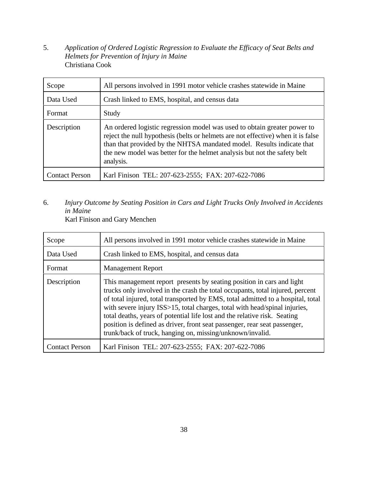5. *Application of Ordered Logistic Regression to Evaluate the Efficacy of Seat Belts and Helmets for Prevention of Injury in Maine* Christiana Cook

| Scope                 | All persons involved in 1991 motor vehicle crashes statewide in Maine                                                                                                                                                                                                                                                          |
|-----------------------|--------------------------------------------------------------------------------------------------------------------------------------------------------------------------------------------------------------------------------------------------------------------------------------------------------------------------------|
| Data Used             | Crash linked to EMS, hospital, and census data                                                                                                                                                                                                                                                                                 |
| Format                | Study                                                                                                                                                                                                                                                                                                                          |
| Description           | An ordered logistic regression model was used to obtain greater power to<br>reject the null hypothesis (belts or helmets are not effective) when it is false<br>than that provided by the NHTSA mandated model. Results indicate that<br>the new model was better for the helmet analysis but not the safety belt<br>analysis. |
| <b>Contact Person</b> | Karl Finison TEL: 207-623-2555; FAX: 207-622-7086                                                                                                                                                                                                                                                                              |

6. *Injury Outcome by Seating Position in Cars and Light Trucks Only Involved in Accidents in Maine*

Karl Finison and Gary Menchen

| Scope                 | All persons involved in 1991 motor vehicle crashes statewide in Maine                                                                                                                                                                                                                                                                                                                                                                                                                                                                          |
|-----------------------|------------------------------------------------------------------------------------------------------------------------------------------------------------------------------------------------------------------------------------------------------------------------------------------------------------------------------------------------------------------------------------------------------------------------------------------------------------------------------------------------------------------------------------------------|
| Data Used             | Crash linked to EMS, hospital, and census data                                                                                                                                                                                                                                                                                                                                                                                                                                                                                                 |
| Format                | <b>Management Report</b>                                                                                                                                                                                                                                                                                                                                                                                                                                                                                                                       |
| Description           | This management report presents by seating position in cars and light<br>trucks only involved in the crash the total occupants, total injured, percent<br>of total injured, total transported by EMS, total admitted to a hospital, total<br>with severe injury ISS>15, total charges, total with head/spinal injuries,<br>total deaths, years of potential life lost and the relative risk. Seating<br>position is defined as driver, front seat passenger, rear seat passenger,<br>trunk/back of truck, hanging on, missing/unknown/invalid. |
| <b>Contact Person</b> | Karl Finison TEL: 207-623-2555; FAX: 207-622-7086                                                                                                                                                                                                                                                                                                                                                                                                                                                                                              |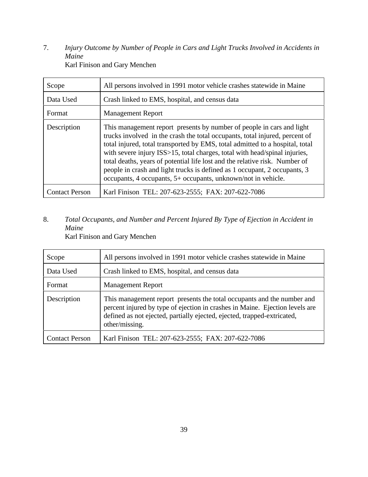7. *Injury Outcome by Number of People in Cars and Light Trucks Involved in Accidents in Maine* Karl Finison and Gary Menchen

| Scope                 | All persons involved in 1991 motor vehicle crashes statewide in Maine                                                                                                                                                                                                                                                                                                                                                                                                                                                                           |
|-----------------------|-------------------------------------------------------------------------------------------------------------------------------------------------------------------------------------------------------------------------------------------------------------------------------------------------------------------------------------------------------------------------------------------------------------------------------------------------------------------------------------------------------------------------------------------------|
| Data Used             | Crash linked to EMS, hospital, and census data                                                                                                                                                                                                                                                                                                                                                                                                                                                                                                  |
| Format                | <b>Management Report</b>                                                                                                                                                                                                                                                                                                                                                                                                                                                                                                                        |
| Description           | This management report presents by number of people in cars and light<br>trucks involved in the crash the total occupants, total injured, percent of<br>total injured, total transported by EMS, total admitted to a hospital, total<br>with severe injury ISS>15, total charges, total with head/spinal injuries,<br>total deaths, years of potential life lost and the relative risk. Number of<br>people in crash and light trucks is defined as 1 occupant, 2 occupants, 3<br>occupants, 4 occupants, 5+ occupants, unknown/not in vehicle. |
| <b>Contact Person</b> | Karl Finison TEL: 207-623-2555; FAX: 207-622-7086                                                                                                                                                                                                                                                                                                                                                                                                                                                                                               |

## 8. *Total Occupants, and Number and Percent Injured By Type of Ejection in Accident in Maine*

Karl Finison and Gary Menchen

| Scope                 | All persons involved in 1991 motor vehicle crashes statewide in Maine                                                                                                                                                                               |
|-----------------------|-----------------------------------------------------------------------------------------------------------------------------------------------------------------------------------------------------------------------------------------------------|
| Data Used             | Crash linked to EMS, hospital, and census data                                                                                                                                                                                                      |
| Format                | <b>Management Report</b>                                                                                                                                                                                                                            |
| Description           | This management report presents the total occupants and the number and<br>percent injured by type of ejection in crashes in Maine. Ejection levels are<br>defined as not ejected, partially ejected, ejected, trapped-extricated,<br>other/missing. |
| <b>Contact Person</b> | Karl Finison TEL: 207-623-2555; FAX: 207-622-7086                                                                                                                                                                                                   |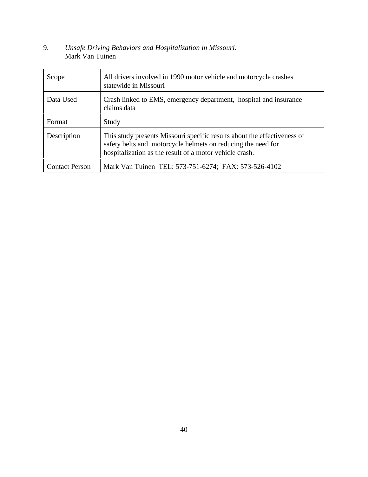#### 9. *Unsafe Driving Behaviors and Hospitalization in Missouri.* Mark Van Tuinen

| Scope                 | All drivers involved in 1990 motor vehicle and motorcycle crashes<br>statewide in Missouri                                                                                                          |
|-----------------------|-----------------------------------------------------------------------------------------------------------------------------------------------------------------------------------------------------|
| Data Used             | Crash linked to EMS, emergency department, hospital and insurance<br>claims data                                                                                                                    |
| Format                | Study                                                                                                                                                                                               |
| Description           | This study presents Missouri specific results about the effectiveness of<br>safety belts and motorcycle helmets on reducing the need for<br>hospitalization as the result of a motor vehicle crash. |
| <b>Contact Person</b> | Mark Van Tuinen TEL: 573-751-6274; FAX: 573-526-4102                                                                                                                                                |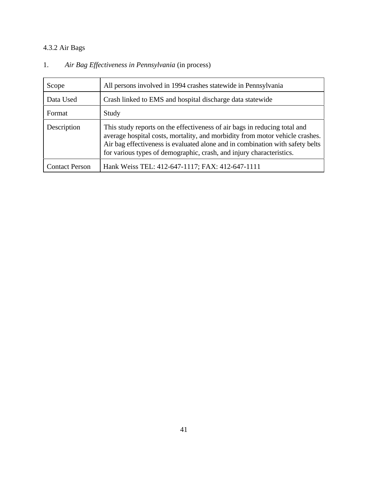## 4.3.2 Air Bags

| Scope                 | All persons involved in 1994 crashes statewide in Pennsylvania                                                                                                                                                                                                                                                     |
|-----------------------|--------------------------------------------------------------------------------------------------------------------------------------------------------------------------------------------------------------------------------------------------------------------------------------------------------------------|
| Data Used             | Crash linked to EMS and hospital discharge data statewide                                                                                                                                                                                                                                                          |
| Format                | Study                                                                                                                                                                                                                                                                                                              |
| Description           | This study reports on the effectiveness of air bags in reducing total and<br>average hospital costs, mortality, and morbidity from motor vehicle crashes.<br>Air bag effectiveness is evaluated alone and in combination with safety belts<br>for various types of demographic, crash, and injury characteristics. |
| <b>Contact Person</b> | Hank Weiss TEL: 412-647-1117; FAX: 412-647-1111                                                                                                                                                                                                                                                                    |

## 1. *Air Bag Effectiveness in Pennsylvania* (in process)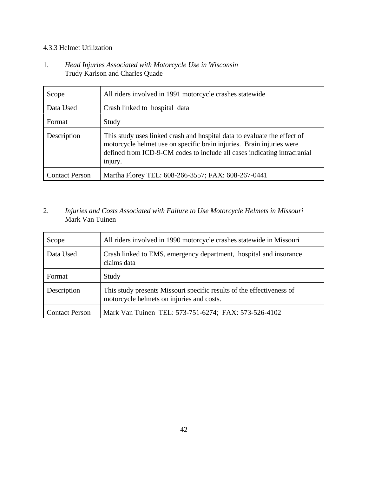#### 4.3.3 Helmet Utilization

#### 1. *Head Injuries Associated with Motorcycle Use in Wisconsin* Trudy Karlson and Charles Quade

| Scope                 | All riders involved in 1991 motorcycle crashes statewide                                                                                                                                                                                 |
|-----------------------|------------------------------------------------------------------------------------------------------------------------------------------------------------------------------------------------------------------------------------------|
| Data Used             | Crash linked to hospital data                                                                                                                                                                                                            |
| Format                | Study                                                                                                                                                                                                                                    |
| Description           | This study uses linked crash and hospital data to evaluate the effect of<br>motorcycle helmet use on specific brain injuries. Brain injuries were<br>defined from ICD-9-CM codes to include all cases indicating intracranial<br>injury. |
| <b>Contact Person</b> | Martha Florey TEL: 608-266-3557; FAX: 608-267-0441                                                                                                                                                                                       |

#### 2. *Injuries and Costs Associated with Failure to Use Motorcycle Helmets in Missouri* Mark Van Tuinen

| Scope                 | All riders involved in 1990 motorcycle crashes statewide in Missouri                                               |
|-----------------------|--------------------------------------------------------------------------------------------------------------------|
| Data Used             | Crash linked to EMS, emergency department, hospital and insurance<br>claims data                                   |
| Format                | Study                                                                                                              |
| Description           | This study presents Missouri specific results of the effectiveness of<br>motorcycle helmets on injuries and costs. |
| <b>Contact Person</b> | Mark Van Tuinen TEL: 573-751-6274; FAX: 573-526-4102                                                               |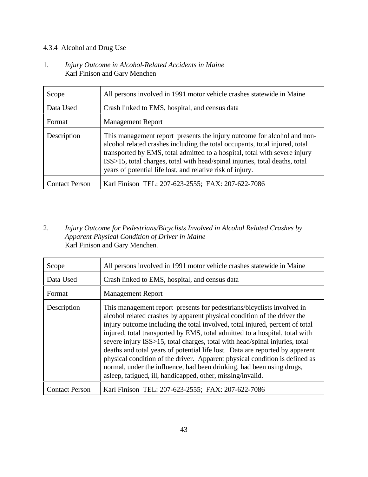#### 4.3.4 Alcohol and Drug Use

1. *Injury Outcome in Alcohol-Related Accidents in Maine* Karl Finison and Gary Menchen

| Scope                 | All persons involved in 1991 motor vehicle crashes statewide in Maine                                                                                                                                                                                                                                                                                                             |
|-----------------------|-----------------------------------------------------------------------------------------------------------------------------------------------------------------------------------------------------------------------------------------------------------------------------------------------------------------------------------------------------------------------------------|
| Data Used             | Crash linked to EMS, hospital, and census data                                                                                                                                                                                                                                                                                                                                    |
| Format                | <b>Management Report</b>                                                                                                                                                                                                                                                                                                                                                          |
| Description           | This management report presents the injury outcome for alcohol and non-<br>alcohol related crashes including the total occupants, total injured, total<br>transported by EMS, total admitted to a hospital, total with severe injury<br>ISS>15, total charges, total with head/spinal injuries, total deaths, total<br>years of potential life lost, and relative risk of injury. |
| <b>Contact Person</b> | Karl Finison TEL: 207-623-2555; FAX: 207-622-7086                                                                                                                                                                                                                                                                                                                                 |

2. *Injury Outcome for Pedestrians/Bicyclists Involved in Alcohol Related Crashes by Apparent Physical Condition of Driver in Maine* Karl Finison and Gary Menchen.

| Scope                 | All persons involved in 1991 motor vehicle crashes statewide in Maine                                                                                                                                                                                                                                                                                                                                                                                                                                                                                                                                                                                                                                   |
|-----------------------|---------------------------------------------------------------------------------------------------------------------------------------------------------------------------------------------------------------------------------------------------------------------------------------------------------------------------------------------------------------------------------------------------------------------------------------------------------------------------------------------------------------------------------------------------------------------------------------------------------------------------------------------------------------------------------------------------------|
| Data Used             | Crash linked to EMS, hospital, and census data                                                                                                                                                                                                                                                                                                                                                                                                                                                                                                                                                                                                                                                          |
| Format                | <b>Management Report</b>                                                                                                                                                                                                                                                                                                                                                                                                                                                                                                                                                                                                                                                                                |
| Description           | This management report presents for pedestrians/bicyclists involved in<br>alcohol related crashes by apparent physical condition of the driver the<br>injury outcome including the total involved, total injured, percent of total<br>injured, total transported by EMS, total admitted to a hospital, total with<br>severe injury ISS>15, total charges, total with head/spinal injuries, total<br>deaths and total years of potential life lost. Data are reported by apparent<br>physical condition of the driver. Apparent physical condition is defined as<br>normal, under the influence, had been drinking, had been using drugs,<br>asleep, fatigued, ill, handicapped, other, missing/invalid. |
| <b>Contact Person</b> | Karl Finison TEL: 207-623-2555; FAX: 207-622-7086                                                                                                                                                                                                                                                                                                                                                                                                                                                                                                                                                                                                                                                       |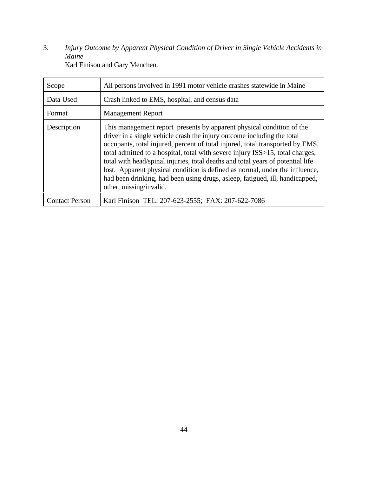3. *Injury Outcome by Apparent Physical Condition of Driver in Single Vehicle Accidents in Maine* Karl Finison and Gary Menchen.

| Scope                 | All persons involved in 1991 motor vehicle crashes statewide in Maine                                                                                                                                                                                                                                                                                                                                                                                                                                                                                                                            |
|-----------------------|--------------------------------------------------------------------------------------------------------------------------------------------------------------------------------------------------------------------------------------------------------------------------------------------------------------------------------------------------------------------------------------------------------------------------------------------------------------------------------------------------------------------------------------------------------------------------------------------------|
| Data Used             | Crash linked to EMS, hospital, and census data                                                                                                                                                                                                                                                                                                                                                                                                                                                                                                                                                   |
| Format                | <b>Management Report</b>                                                                                                                                                                                                                                                                                                                                                                                                                                                                                                                                                                         |
| Description           | This management report presents by apparent physical condition of the<br>driver in a single vehicle crash the injury outcome including the total<br>occupants, total injured, percent of total injured, total transported by EMS,<br>total admitted to a hospital, total with severe injury ISS>15, total charges,<br>total with head/spinal injuries, total deaths and total years of potential life<br>lost. Apparent physical condition is defined as normal, under the influence,<br>had been drinking, had been using drugs, asleep, fatigued, ill, handicapped,<br>other, missing/invalid. |
| <b>Contact Person</b> | Karl Finison TEL: 207-623-2555; FAX: 207-622-7086                                                                                                                                                                                                                                                                                                                                                                                                                                                                                                                                                |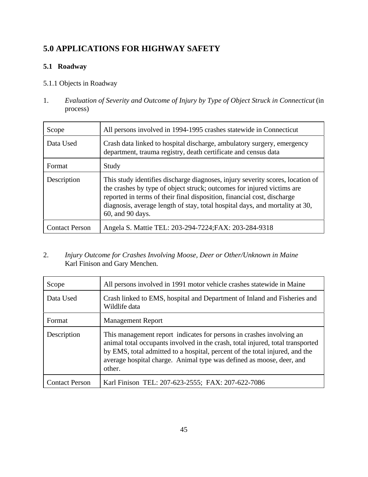## **5.0 APPLICATIONS FOR HIGHWAY SAFETY**

#### **5.1 Roadway**

#### 5.1.1 Objects in Roadway

1. *Evaluation of Severity and Outcome of Injury by Type of Object Struck in Connecticut* (in process)

| Scope                 | All persons involved in 1994-1995 crashes statewide in Connecticut                                                                                                                                                                                                                                                                      |
|-----------------------|-----------------------------------------------------------------------------------------------------------------------------------------------------------------------------------------------------------------------------------------------------------------------------------------------------------------------------------------|
| Data Used             | Crash data linked to hospital discharge, ambulatory surgery, emergency<br>department, trauma registry, death certificate and census data                                                                                                                                                                                                |
| Format                | Study                                                                                                                                                                                                                                                                                                                                   |
| Description           | This study identifies discharge diagnoses, injury severity scores, location of<br>the crashes by type of object struck; outcomes for injured victims are<br>reported in terms of their final disposition, financial cost, discharge<br>diagnosis, average length of stay, total hospital days, and mortality at 30,<br>60, and 90 days. |
| <b>Contact Person</b> | Angela S. Mattie TEL: 203-294-7224; FAX: 203-284-9318                                                                                                                                                                                                                                                                                   |

#### 2. *Injury Outcome for Crashes Involving Moose, Deer or Other/Unknown in Maine* Karl Finison and Gary Menchen.

| Scope                 | All persons involved in 1991 motor vehicle crashes statewide in Maine                                                                                                                                                                                                                                                   |
|-----------------------|-------------------------------------------------------------------------------------------------------------------------------------------------------------------------------------------------------------------------------------------------------------------------------------------------------------------------|
| Data Used             | Crash linked to EMS, hospital and Department of Inland and Fisheries and<br>Wildlife data                                                                                                                                                                                                                               |
| Format                | <b>Management Report</b>                                                                                                                                                                                                                                                                                                |
| Description           | This management report indicates for persons in crashes involving an<br>animal total occupants involved in the crash, total injured, total transported<br>by EMS, total admitted to a hospital, percent of the total injured, and the<br>average hospital charge. Animal type was defined as moose, deer, and<br>other. |
| <b>Contact Person</b> | Karl Finison TEL: 207-623-2555; FAX: 207-622-7086                                                                                                                                                                                                                                                                       |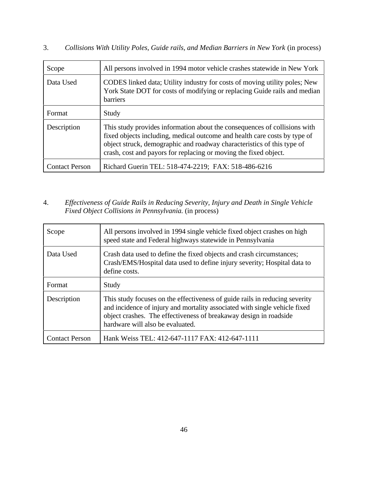| Scope                 | All persons involved in 1994 motor vehicle crashes statewide in New York                                                                                                                                                                                                                             |
|-----------------------|------------------------------------------------------------------------------------------------------------------------------------------------------------------------------------------------------------------------------------------------------------------------------------------------------|
| Data Used             | CODES linked data; Utility industry for costs of moving utility poles; New<br>York State DOT for costs of modifying or replacing Guide rails and median<br><b>barriers</b>                                                                                                                           |
| Format                | Study                                                                                                                                                                                                                                                                                                |
| Description           | This study provides information about the consequences of collisions with<br>fixed objects including, medical outcome and health care costs by type of<br>object struck, demographic and roadway characteristics of this type of<br>crash, cost and payors for replacing or moving the fixed object. |
| <b>Contact Person</b> | Richard Guerin TEL: 518-474-2219; FAX: 518-486-6216                                                                                                                                                                                                                                                  |

#### 4. *Effectiveness of Guide Rails in Reducing Severity, Injury and Death in Single Vehicle Fixed Object Collisions in Pennsylvania.* (in process)

| Scope                 | All persons involved in 1994 single vehicle fixed object crashes on high<br>speed state and Federal highways statewide in Pennsylvania                                                                                                                             |
|-----------------------|--------------------------------------------------------------------------------------------------------------------------------------------------------------------------------------------------------------------------------------------------------------------|
| Data Used             | Crash data used to define the fixed objects and crash circumstances;<br>Crash/EMS/Hospital data used to define injury severity; Hospital data to<br>define costs.                                                                                                  |
| Format                | Study                                                                                                                                                                                                                                                              |
| Description           | This study focuses on the effectiveness of guide rails in reducing severity<br>and incidence of injury and mortality associated with single vehicle fixed<br>object crashes. The effectiveness of breakaway design in roadside<br>hardware will also be evaluated. |
| <b>Contact Person</b> | Hank Weiss TEL: 412-647-1117 FAX: 412-647-1111                                                                                                                                                                                                                     |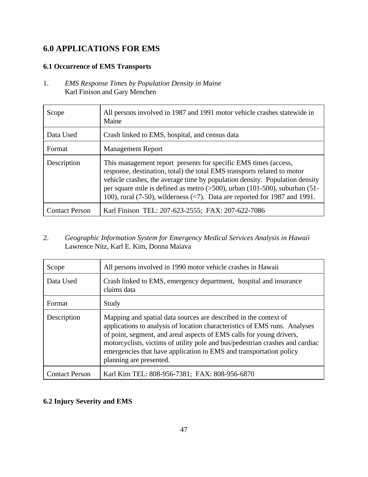### **6.0 APPLICATIONS FOR EMS**

#### **6.1 Occurrence of EMS Transports**

1. *EMS Response Times by Population Density in Maine* Karl Finison and Gary Menchen

| Scope                 | All persons involved in 1987 and 1991 motor vehicle crashes statewide in<br>Maine                                                                                                                                                                                                                                                                                                                                   |
|-----------------------|---------------------------------------------------------------------------------------------------------------------------------------------------------------------------------------------------------------------------------------------------------------------------------------------------------------------------------------------------------------------------------------------------------------------|
| Data Used             | Crash linked to EMS, hospital, and census data                                                                                                                                                                                                                                                                                                                                                                      |
| Format                | <b>Management Report</b>                                                                                                                                                                                                                                                                                                                                                                                            |
| Description           | This management report presents for specific EMS times (access,<br>response, destination, total) the total EMS transports related to motor<br>vehicle crashes, the average time by population density. Population density<br>per square mile is defined as metro $(500)$ , urban $(101-500)$ , suburban $(51-$<br>100), rural (7-50), wilderness $\langle \langle 7 \rangle$ . Data are reported for 1987 and 1991. |
| <b>Contact Person</b> | Karl Finison TEL: 207-623-2555; FAX: 207-622-7086                                                                                                                                                                                                                                                                                                                                                                   |

2. *Geographic Information System for Emergency Medical Services Analysis in Hawaii* Lawrence Nitz, Karl E. Kim, Donna Maiava

| Scope                 | All persons involved in 1990 motor vehicle crashes in Hawaii                                                                                                                                                                                                                                                                                                                                             |
|-----------------------|----------------------------------------------------------------------------------------------------------------------------------------------------------------------------------------------------------------------------------------------------------------------------------------------------------------------------------------------------------------------------------------------------------|
| Data Used             | Crash linked to EMS, emergency department, hospital and insurance<br>claims data                                                                                                                                                                                                                                                                                                                         |
| Format                | Study                                                                                                                                                                                                                                                                                                                                                                                                    |
| Description           | Mapping and spatial data sources are described in the context of<br>applications to analysis of location characteristics of EMS runs. Analyses<br>of point, segment, and areal aspects of EMS calls for young drivers,<br>motorcyclists, victims of utility pole and bus/pedestrian crashes and cardiac<br>emergencies that have application to EMS and transportation policy<br>planning are presented. |
| <b>Contact Person</b> | Karl Kim TEL: 808-956-7381; FAX: 808-956-6870                                                                                                                                                                                                                                                                                                                                                            |

#### **6.2 Injury Severity and EMS**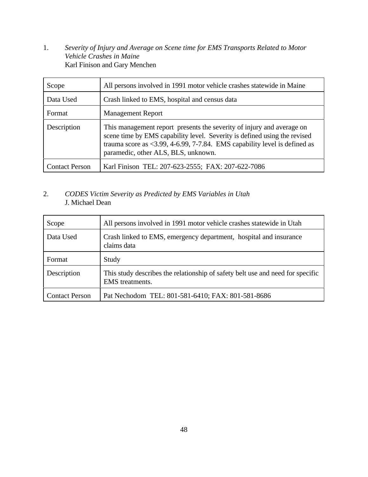1. *Severity of Injury and Average on Scene time for EMS Transports Related to Motor Vehicle Crashes in Maine* Karl Finison and Gary Menchen

| Scope                 | All persons involved in 1991 motor vehicle crashes statewide in Maine                                                                                                                                                                                                            |
|-----------------------|----------------------------------------------------------------------------------------------------------------------------------------------------------------------------------------------------------------------------------------------------------------------------------|
| Data Used             | Crash linked to EMS, hospital and census data                                                                                                                                                                                                                                    |
| Format                | <b>Management Report</b>                                                                                                                                                                                                                                                         |
| Description           | This management report presents the severity of injury and average on<br>scene time by EMS capability level. Severity is defined using the revised<br>trauma score as $\langle 3.99, 4-6.99, 7-7.84$ . EMS capability level is defined as<br>paramedic, other ALS, BLS, unknown. |
| <b>Contact Person</b> | Karl Finison TEL: 207-623-2555; FAX: 207-622-7086                                                                                                                                                                                                                                |

#### 2. *CODES Victim Severity as Predicted by EMS Variables in Utah* J. Michael Dean

| Scope                 | All persons involved in 1991 motor vehicle crashes statewide in Utah                              |
|-----------------------|---------------------------------------------------------------------------------------------------|
| Data Used             | Crash linked to EMS, emergency department, hospital and insurance<br>claims data                  |
| Format                | Study                                                                                             |
| Description           | This study describes the relationship of safety belt use and need for specific<br>EMS treatments. |
| <b>Contact Person</b> | Pat Nechodom TEL: 801-581-6410; FAX: 801-581-8686                                                 |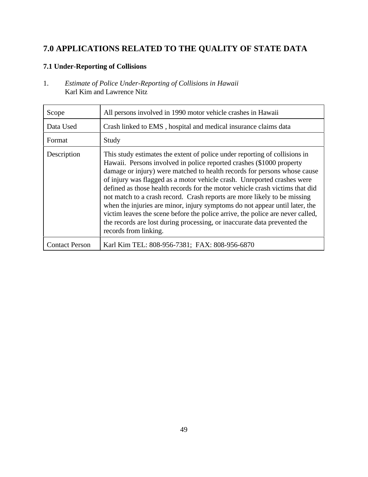## **7.0 APPLICATIONS RELATED TO THE QUALITY OF STATE DATA**

#### **7.1 Under-Reporting of Collisions**

1. *Estimate of Police Under-Reporting of Collisions in Hawaii* Karl Kim and Lawrence Nitz

| Scope                 | All persons involved in 1990 motor vehicle crashes in Hawaii                                                                                                                                                                                                                                                                                                                                                                                                                                                                                                                                                                                                                                                                                |
|-----------------------|---------------------------------------------------------------------------------------------------------------------------------------------------------------------------------------------------------------------------------------------------------------------------------------------------------------------------------------------------------------------------------------------------------------------------------------------------------------------------------------------------------------------------------------------------------------------------------------------------------------------------------------------------------------------------------------------------------------------------------------------|
| Data Used             | Crash linked to EMS, hospital and medical insurance claims data                                                                                                                                                                                                                                                                                                                                                                                                                                                                                                                                                                                                                                                                             |
| Format                | Study                                                                                                                                                                                                                                                                                                                                                                                                                                                                                                                                                                                                                                                                                                                                       |
| Description           | This study estimates the extent of police under reporting of collisions in<br>Hawaii. Persons involved in police reported crashes (\$1000 property<br>damage or injury) were matched to health records for persons whose cause<br>of injury was flagged as a motor vehicle crash. Unreported crashes were<br>defined as those health records for the motor vehicle crash victims that did<br>not match to a crash record. Crash reports are more likely to be missing<br>when the injuries are minor, injury symptoms do not appear until later, the<br>victim leaves the scene before the police arrive, the police are never called,<br>the records are lost during processing, or inaccurate data prevented the<br>records from linking. |
| <b>Contact Person</b> | Karl Kim TEL: 808-956-7381; FAX: 808-956-6870                                                                                                                                                                                                                                                                                                                                                                                                                                                                                                                                                                                                                                                                                               |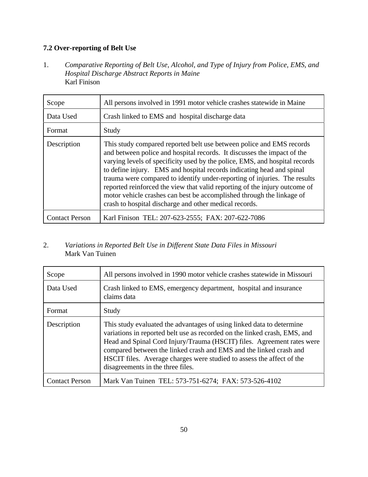## **7.2 Over-reporting of Belt Use**

1. *Comparative Reporting of Belt Use, Alcohol, and Type of Injury from Police, EMS, and Hospital Discharge Abstract Reports in Maine* Karl Finison

| Scope                 | All persons involved in 1991 motor vehicle crashes statewide in Maine                                                                                                                                                                                                                                                                                                                                                                                                                                                                                                                                 |
|-----------------------|-------------------------------------------------------------------------------------------------------------------------------------------------------------------------------------------------------------------------------------------------------------------------------------------------------------------------------------------------------------------------------------------------------------------------------------------------------------------------------------------------------------------------------------------------------------------------------------------------------|
| Data Used             | Crash linked to EMS and hospital discharge data                                                                                                                                                                                                                                                                                                                                                                                                                                                                                                                                                       |
| Format                | Study                                                                                                                                                                                                                                                                                                                                                                                                                                                                                                                                                                                                 |
| Description           | This study compared reported belt use between police and EMS records<br>and between police and hospital records. It discusses the impact of the<br>varying levels of specificity used by the police, EMS, and hospital records<br>to define injury. EMS and hospital records indicating head and spinal<br>trauma were compared to identify under-reporting of injuries. The results<br>reported reinforced the view that valid reporting of the injury outcome of<br>motor vehicle crashes can best be accomplished through the linkage of<br>crash to hospital discharge and other medical records. |
| <b>Contact Person</b> | Karl Finison TEL: 207-623-2555; FAX: 207-622-7086                                                                                                                                                                                                                                                                                                                                                                                                                                                                                                                                                     |

#### 2. *Variations in Reported Belt Use in Different State Data Files in Missouri* Mark Van Tuinen

| Scope                 | All persons involved in 1990 motor vehicle crashes statewide in Missouri                                                                                                                                                                                                                                                                                                                                         |
|-----------------------|------------------------------------------------------------------------------------------------------------------------------------------------------------------------------------------------------------------------------------------------------------------------------------------------------------------------------------------------------------------------------------------------------------------|
| Data Used             | Crash linked to EMS, emergency department, hospital and insurance<br>claims data                                                                                                                                                                                                                                                                                                                                 |
| Format                | Study                                                                                                                                                                                                                                                                                                                                                                                                            |
| Description           | This study evaluated the advantages of using linked data to determine<br>variations in reported belt use as recorded on the linked crash, EMS, and<br>Head and Spinal Cord Injury/Trauma (HSCIT) files. Agreement rates were<br>compared between the linked crash and EMS and the linked crash and<br>HSCIT files. Average charges were studied to assess the affect of the<br>disagreements in the three files. |
| <b>Contact Person</b> | Mark Van Tuinen TEL: 573-751-6274; FAX: 573-526-4102                                                                                                                                                                                                                                                                                                                                                             |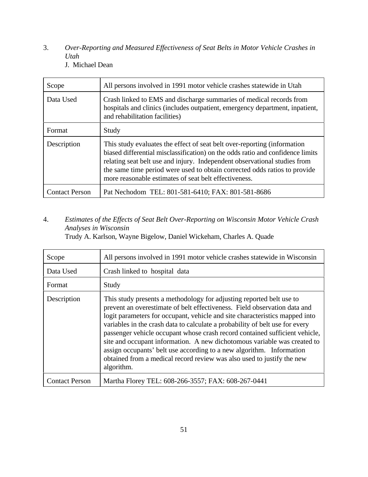- 3. *Over-Reporting and Measured Effectiveness of Seat Belts in Motor Vehicle Crashes in Utah*
	- J. Michael Dean

| Scope                 | All persons involved in 1991 motor vehicle crashes statewide in Utah                                                                                                                                                                                                                                                                                                          |
|-----------------------|-------------------------------------------------------------------------------------------------------------------------------------------------------------------------------------------------------------------------------------------------------------------------------------------------------------------------------------------------------------------------------|
| Data Used             | Crash linked to EMS and discharge summaries of medical records from<br>hospitals and clinics (includes outpatient, emergency department, inpatient,<br>and rehabilitation facilities)                                                                                                                                                                                         |
| Format                | Study                                                                                                                                                                                                                                                                                                                                                                         |
| Description           | This study evaluates the effect of seat belt over-reporting (information<br>biased differential misclassification) on the odds ratio and confidence limits<br>relating seat belt use and injury. Independent observational studies from<br>the same time period were used to obtain corrected odds ratios to provide<br>more reasonable estimates of seat belt effectiveness. |
| <b>Contact Person</b> | Pat Nechodom TEL: 801-581-6410; FAX: 801-581-8686                                                                                                                                                                                                                                                                                                                             |

4. *Estimates of the Effects of Seat Belt Over-Reporting on Wisconsin Motor Vehicle Crash Analyses in Wisconsin*

Trudy A. Karlson, Wayne Bigelow, Daniel Wickeham, Charles A. Quade

| Scope                 | All persons involved in 1991 motor vehicle crashes statewide in Wisconsin                                                                                                                                                                                                                                                                                                                                                                                                                                                                                                                                                                   |
|-----------------------|---------------------------------------------------------------------------------------------------------------------------------------------------------------------------------------------------------------------------------------------------------------------------------------------------------------------------------------------------------------------------------------------------------------------------------------------------------------------------------------------------------------------------------------------------------------------------------------------------------------------------------------------|
| Data Used             | Crash linked to hospital data                                                                                                                                                                                                                                                                                                                                                                                                                                                                                                                                                                                                               |
| Format                | Study                                                                                                                                                                                                                                                                                                                                                                                                                                                                                                                                                                                                                                       |
| Description           | This study presents a methodology for adjusting reported belt use to<br>prevent an overestimate of belt effectiveness. Field observation data and<br>logit parameters for occupant, vehicle and site characteristics mapped into<br>variables in the crash data to calculate a probability of belt use for every<br>passenger vehicle occupant whose crash record contained sufficient vehicle,<br>site and occupant information. A new dichotomous variable was created to<br>assign occupants' belt use according to a new algorithm. Information<br>obtained from a medical record review was also used to justify the new<br>algorithm. |
| <b>Contact Person</b> | Martha Florey TEL: 608-266-3557; FAX: 608-267-0441                                                                                                                                                                                                                                                                                                                                                                                                                                                                                                                                                                                          |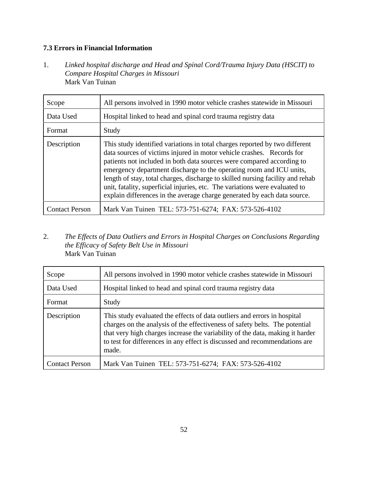#### **7.3 Errors in Financial Information**

1. *Linked hospital discharge and Head and Spinal Cord/Trauma Injury Data (HSCIT) to Compare Hospital Charges in Missouri* Mark Van Tuinan

| Scope                 | All persons involved in 1990 motor vehicle crashes statewide in Missouri                                                                                                                                                                                                                                                                                                                                                                                                                                                                          |
|-----------------------|---------------------------------------------------------------------------------------------------------------------------------------------------------------------------------------------------------------------------------------------------------------------------------------------------------------------------------------------------------------------------------------------------------------------------------------------------------------------------------------------------------------------------------------------------|
| Data Used             | Hospital linked to head and spinal cord trauma registry data                                                                                                                                                                                                                                                                                                                                                                                                                                                                                      |
| Format                | Study                                                                                                                                                                                                                                                                                                                                                                                                                                                                                                                                             |
| Description           | This study identified variations in total charges reported by two different<br>data sources of victims injured in motor vehicle crashes. Records for<br>patients not included in both data sources were compared according to<br>emergency department discharge to the operating room and ICU units,<br>length of stay, total charges, discharge to skilled nursing facility and rehab<br>unit, fatality, superficial injuries, etc. The variations were evaluated to<br>explain differences in the average charge generated by each data source. |
| <b>Contact Person</b> | Mark Van Tuinen TEL: 573-751-6274; FAX: 573-526-4102                                                                                                                                                                                                                                                                                                                                                                                                                                                                                              |

2. *The Effects of Data Outliers and Errors in Hospital Charges on Conclusions Regarding the Efficacy of Safety Belt Use in Missouri* Mark Van Tuinan

| Scope                 | All persons involved in 1990 motor vehicle crashes statewide in Missouri                                                                                                                                                                                                                                                        |
|-----------------------|---------------------------------------------------------------------------------------------------------------------------------------------------------------------------------------------------------------------------------------------------------------------------------------------------------------------------------|
| Data Used             | Hospital linked to head and spinal cord trauma registry data                                                                                                                                                                                                                                                                    |
| Format                | Study                                                                                                                                                                                                                                                                                                                           |
| Description           | This study evaluated the effects of data outliers and errors in hospital<br>charges on the analysis of the effectiveness of safety belts. The potential<br>that very high charges increase the variability of the data, making it harder<br>to test for differences in any effect is discussed and recommendations are<br>made. |
| <b>Contact Person</b> | Mark Van Tuinen TEL: 573-751-6274; FAX: 573-526-4102                                                                                                                                                                                                                                                                            |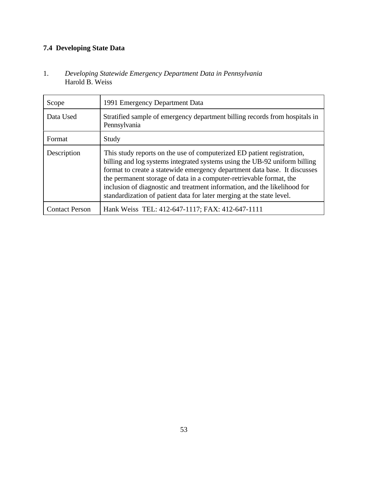## **7.4 Developing State Data**

1. *Developing Statewide Emergency Department Data in Pennsylvania* Harold B. Weiss

| Scope                 | 1991 Emergency Department Data                                                                                                                                                                                                                                                                                                                                                                                                                                 |
|-----------------------|----------------------------------------------------------------------------------------------------------------------------------------------------------------------------------------------------------------------------------------------------------------------------------------------------------------------------------------------------------------------------------------------------------------------------------------------------------------|
| Data Used             | Stratified sample of emergency department billing records from hospitals in<br>Pennsylvania                                                                                                                                                                                                                                                                                                                                                                    |
| Format                | Study                                                                                                                                                                                                                                                                                                                                                                                                                                                          |
| Description           | This study reports on the use of computerized ED patient registration,<br>billing and log systems integrated systems using the UB-92 uniform billing<br>format to create a statewide emergency department data base. It discusses<br>the permanent storage of data in a computer-retrievable format, the<br>inclusion of diagnostic and treatment information, and the likelihood for<br>standardization of patient data for later merging at the state level. |
| <b>Contact Person</b> | Hank Weiss TEL: 412-647-1117; FAX: 412-647-1111                                                                                                                                                                                                                                                                                                                                                                                                                |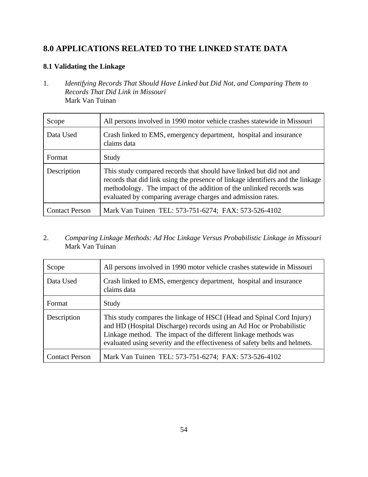## **8.0 APPLICATIONS RELATED TO THE LINKED STATE DATA**

#### **8.1 Validating the Linkage**

1. *Identifying Records That Should Have Linked but Did Not, and Comparing Them to Records That Did Link in Missouri* Mark Van Tuinan

| Scope                 | All persons involved in 1990 motor vehicle crashes statewide in Missouri                                                                                                                                                                                                                     |
|-----------------------|----------------------------------------------------------------------------------------------------------------------------------------------------------------------------------------------------------------------------------------------------------------------------------------------|
| Data Used             | Crash linked to EMS, emergency department, hospital and insurance<br>claims data                                                                                                                                                                                                             |
| Format                | Study                                                                                                                                                                                                                                                                                        |
| Description           | This study compared records that should have linked but did not and<br>records that did link using the presence of linkage identifiers and the linkage<br>methodology. The impact of the addition of the unlinked records was<br>evaluated by comparing average charges and admission rates. |
| <b>Contact Person</b> | Mark Van Tuinen TEL: 573-751-6274; FAX: 573-526-4102                                                                                                                                                                                                                                         |

#### 2. *Comparing Linkage Methods: Ad Hoc Linkage Versus Probabilistic Linkage in Missouri* Mark Van Tuinan

| Scope                 | All persons involved in 1990 motor vehicle crashes statewide in Missouri                                                                                                                                                                                                                        |
|-----------------------|-------------------------------------------------------------------------------------------------------------------------------------------------------------------------------------------------------------------------------------------------------------------------------------------------|
| Data Used             | Crash linked to EMS, emergency department, hospital and insurance<br>claims data                                                                                                                                                                                                                |
| Format                | Study                                                                                                                                                                                                                                                                                           |
| Description           | This study compares the linkage of HSCI (Head and Spinal Cord Injury)<br>and HD (Hospital Discharge) records using an Ad Hoc or Probabilistic<br>Linkage method. The impact of the different linkage methods was<br>evaluated using severity and the effectiveness of safety belts and helmets. |
| <b>Contact Person</b> | Mark Van Tuinen TEL: 573-751-6274; FAX: 573-526-4102                                                                                                                                                                                                                                            |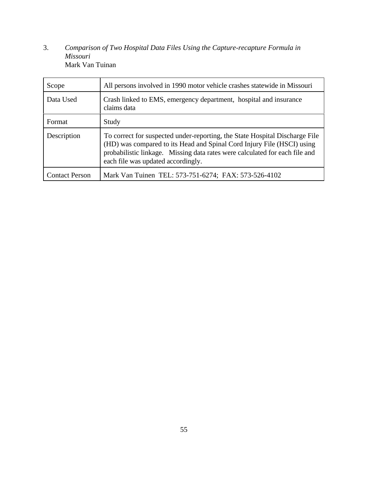3. *Comparison of Two Hospital Data Files Using the Capture-recapture Formula in Missouri* Mark Van Tuinan

| Scope                 | All persons involved in 1990 motor vehicle crashes statewide in Missouri                                                                                                                                                                                                   |
|-----------------------|----------------------------------------------------------------------------------------------------------------------------------------------------------------------------------------------------------------------------------------------------------------------------|
| Data Used             | Crash linked to EMS, emergency department, hospital and insurance<br>claims data                                                                                                                                                                                           |
| Format                | Study                                                                                                                                                                                                                                                                      |
| Description           | To correct for suspected under-reporting, the State Hospital Discharge File<br>(HD) was compared to its Head and Spinal Cord Injury File (HSCI) using<br>probabilistic linkage. Missing data rates were calculated for each file and<br>each file was updated accordingly. |
| <b>Contact Person</b> | Mark Van Tuinen TEL: 573-751-6274; FAX: 573-526-4102                                                                                                                                                                                                                       |